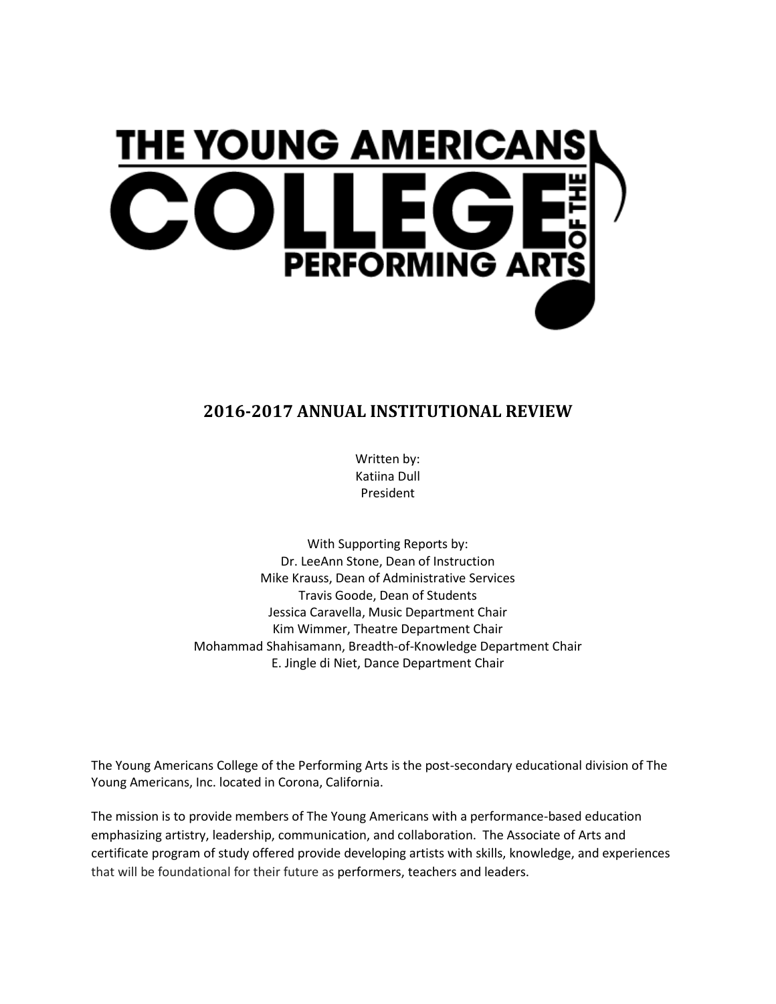

# **2016-2017 ANNUAL INSTITUTIONAL REVIEW**

Written by: Katiina Dull President

With Supporting Reports by: Dr. LeeAnn Stone, Dean of Instruction Mike Krauss, Dean of Administrative Services Travis Goode, Dean of Students Jessica Caravella, Music Department Chair Kim Wimmer, Theatre Department Chair Mohammad Shahisamann, Breadth-of-Knowledge Department Chair E. Jingle di Niet, Dance Department Chair

The Young Americans College of the Performing Arts is the post-secondary educational division of The Young Americans, Inc. located in Corona, California.

The mission is to provide members of The Young Americans with a performance-based education emphasizing artistry, leadership, communication, and collaboration. The Associate of Arts and certificate program of study offered provide developing artists with skills, knowledge, and experiences that will be foundational for their future as performers, teachers and leaders.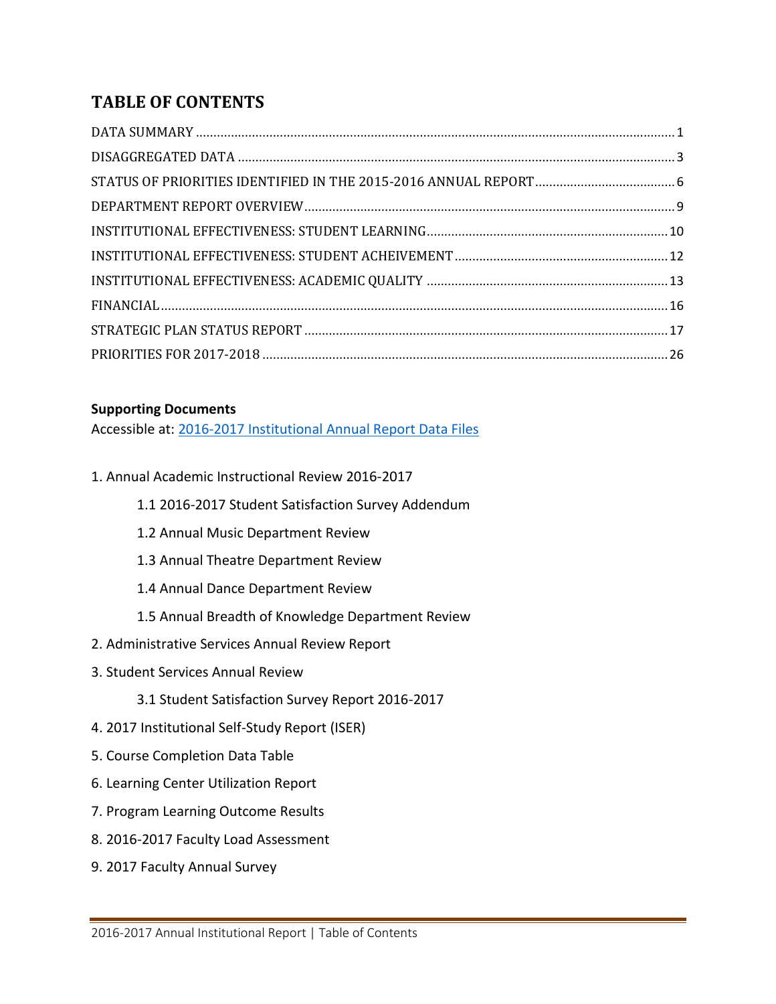# **TABLE OF CONTENTS**

### **Supporting Documents**

Accessible at: [2016-2017 Institutional Annual Report Data Files](hhttps://drive.google.com/drive/folders/0B9mZUCTwvw00MHpqNDVuWEtrUGs?usp=sharing)

- 1. Annual Academic Instructional Review 2016-2017
	- 1.1 2016-2017 Student Satisfaction Survey Addendum
	- 1.2 Annual Music Department Review
	- 1.3 Annual Theatre Department Review
	- 1.4 Annual Dance Department Review
	- 1.5 Annual Breadth of Knowledge Department Review
- 2. Administrative Services Annual Review Report
- 3. Student Services Annual Review
	- 3.1 Student Satisfaction Survey Report 2016-2017
- 4. 2017 Institutional Self-Study Report (ISER)
- 5. Course Completion Data Table
- 6. Learning Center Utilization Report
- 7. Program Learning Outcome Results
- 8. 2016-2017 Faculty Load Assessment
- 9. 2017 Faculty Annual Survey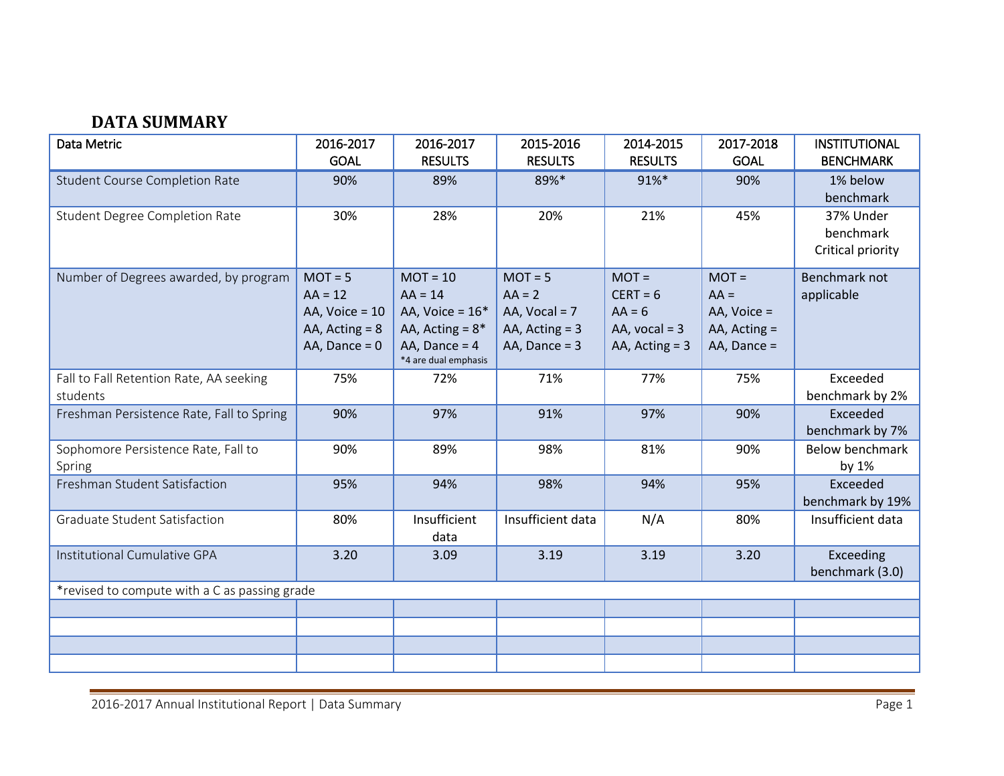# **DATA SUMMARY**

<span id="page-2-0"></span>

| Data Metric                                         | 2016-2017                                                                         | 2016-2017                                                                                                    | 2015-2016                                                                       | 2014-2015                                                                | 2017-2018                                                           | <b>INSTITUTIONAL</b>                        |
|-----------------------------------------------------|-----------------------------------------------------------------------------------|--------------------------------------------------------------------------------------------------------------|---------------------------------------------------------------------------------|--------------------------------------------------------------------------|---------------------------------------------------------------------|---------------------------------------------|
|                                                     | <b>GOAL</b>                                                                       | <b>RESULTS</b>                                                                                               | <b>RESULTS</b>                                                                  | <b>RESULTS</b>                                                           | <b>GOAL</b>                                                         | <b>BENCHMARK</b>                            |
| <b>Student Course Completion Rate</b>               | 90%                                                                               | 89%                                                                                                          | 89%*                                                                            | 91%*                                                                     | 90%                                                                 | 1% below<br>benchmark                       |
| <b>Student Degree Completion Rate</b>               | 30%                                                                               | 28%                                                                                                          | 20%                                                                             | 21%                                                                      | 45%                                                                 | 37% Under<br>benchmark<br>Critical priority |
| Number of Degrees awarded, by program               | $MOT = 5$<br>$AA = 12$<br>AA, $Voice = 10$<br>AA, $Acting = 8$<br>AA, Dance = $0$ | $MOT = 10$<br>$AA = 14$<br>AA, Voice = $16*$<br>AA, Acting = $8*$<br>AA, Dance = $4$<br>*4 are dual emphasis | $MOT = 5$<br>$AA = 2$<br>AA, $Vocal = 7$<br>AA, $Acting = 3$<br>AA, Dance = $3$ | $MOT =$<br>$CERT = 6$<br>$AA = 6$<br>AA, $vocal = 3$<br>AA, $Acting = 3$ | $MOT =$<br>$AA =$<br>AA, Voice =<br>AA, $Acting =$<br>AA, Dance $=$ | Benchmark not<br>applicable                 |
| Fall to Fall Retention Rate, AA seeking<br>students | 75%                                                                               | 72%                                                                                                          | 71%                                                                             | 77%                                                                      | 75%                                                                 | Exceeded<br>benchmark by 2%                 |
| Freshman Persistence Rate, Fall to Spring           | 90%                                                                               | 97%                                                                                                          | 91%                                                                             | 97%                                                                      | 90%                                                                 | Exceeded<br>benchmark by 7%                 |
| Sophomore Persistence Rate, Fall to<br>Spring       | 90%                                                                               | 89%                                                                                                          | 98%                                                                             | 81%                                                                      | 90%                                                                 | <b>Below benchmark</b><br>by 1%             |
| Freshman Student Satisfaction                       | 95%                                                                               | 94%                                                                                                          | 98%                                                                             | 94%                                                                      | 95%                                                                 | Exceeded<br>benchmark by 19%                |
| Graduate Student Satisfaction                       | 80%                                                                               | Insufficient<br>data                                                                                         | Insufficient data                                                               | N/A                                                                      | 80%                                                                 | Insufficient data                           |
| Institutional Cumulative GPA                        | 3.20                                                                              | 3.09                                                                                                         | 3.19                                                                            | 3.19                                                                     | 3.20                                                                | Exceeding<br>benchmark (3.0)                |
| *revised to compute with a C as passing grade       |                                                                                   |                                                                                                              |                                                                                 |                                                                          |                                                                     |                                             |
|                                                     |                                                                                   |                                                                                                              |                                                                                 |                                                                          |                                                                     |                                             |
|                                                     |                                                                                   |                                                                                                              |                                                                                 |                                                                          |                                                                     |                                             |
|                                                     |                                                                                   |                                                                                                              |                                                                                 |                                                                          |                                                                     |                                             |
|                                                     |                                                                                   |                                                                                                              |                                                                                 |                                                                          |                                                                     |                                             |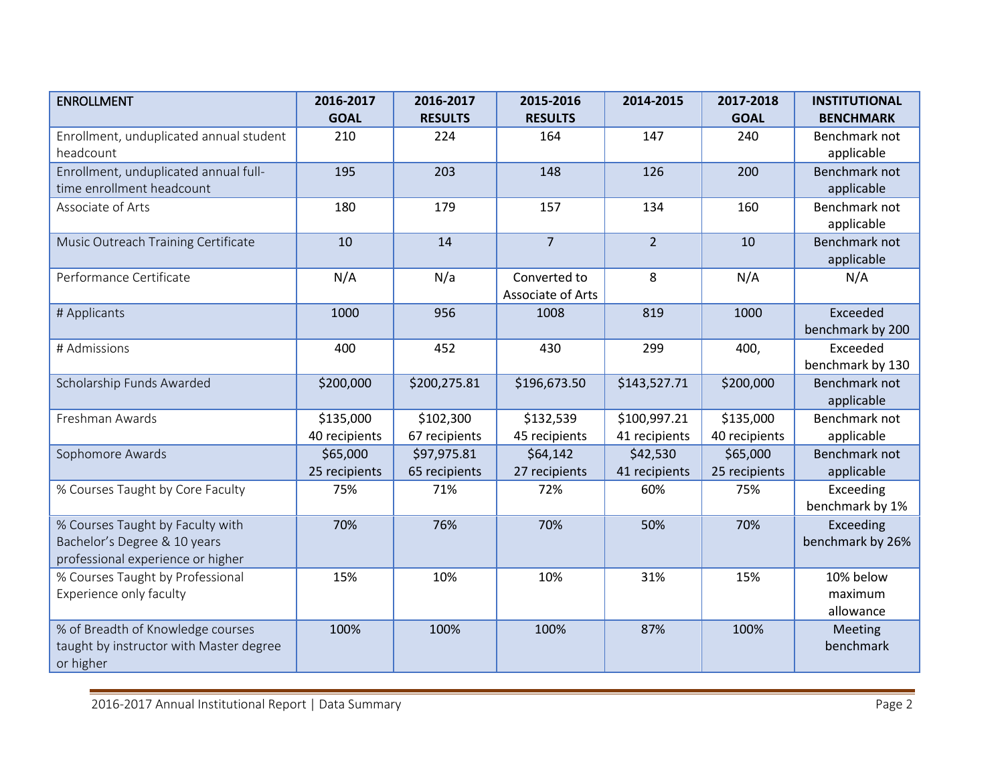| <b>ENROLLMENT</b>                       | 2016-2017     | 2016-2017      | 2015-2016         | 2014-2015      | 2017-2018     | <b>INSTITUTIONAL</b> |
|-----------------------------------------|---------------|----------------|-------------------|----------------|---------------|----------------------|
|                                         | <b>GOAL</b>   | <b>RESULTS</b> | <b>RESULTS</b>    |                | <b>GOAL</b>   | <b>BENCHMARK</b>     |
| Enrollment, unduplicated annual student | 210           | 224            | 164               | 147            | 240           | Benchmark not        |
| headcount                               |               |                |                   |                |               | applicable           |
| Enrollment, unduplicated annual full-   | 195           | 203            | 148               | 126            | 200           | Benchmark not        |
| time enrollment headcount               |               |                |                   |                |               | applicable           |
| Associate of Arts                       | 180           | 179            | 157               | 134            | 160           | Benchmark not        |
|                                         |               |                |                   |                |               | applicable           |
| Music Outreach Training Certificate     | 10            | 14             | $\overline{7}$    | 2 <sup>1</sup> | 10            | Benchmark not        |
|                                         |               |                |                   |                |               | applicable           |
| Performance Certificate                 | N/A           | N/a            | Converted to      | 8              | N/A           | N/A                  |
|                                         |               |                | Associate of Arts |                |               |                      |
| # Applicants                            | 1000          | 956            | 1008              | 819            | 1000          | Exceeded             |
|                                         |               |                |                   |                |               | benchmark by 200     |
| # Admissions                            | 400           | 452            | 430               | 299            | 400,          | Exceeded             |
|                                         |               |                |                   |                |               | benchmark by 130     |
| Scholarship Funds Awarded               | \$200,000     | \$200,275.81   | \$196,673.50      | \$143,527.71   | \$200,000     | Benchmark not        |
|                                         |               |                |                   |                |               | applicable           |
| Freshman Awards                         | \$135,000     | \$102,300      | \$132,539         | \$100,997.21   | \$135,000     | Benchmark not        |
|                                         | 40 recipients | 67 recipients  | 45 recipients     | 41 recipients  | 40 recipients | applicable           |
| Sophomore Awards                        | \$65,000      | \$97,975.81    | \$64,142          | \$42,530       | \$65,000      | Benchmark not        |
|                                         | 25 recipients | 65 recipients  | 27 recipients     | 41 recipients  | 25 recipients | applicable           |
| % Courses Taught by Core Faculty        | 75%           | 71%            | 72%               | 60%            | 75%           | Exceeding            |
|                                         |               |                |                   |                |               | benchmark by 1%      |
| % Courses Taught by Faculty with        | 70%           | 76%            | 70%               | 50%            | 70%           | Exceeding            |
| Bachelor's Degree & 10 years            |               |                |                   |                |               | benchmark by 26%     |
| professional experience or higher       |               |                |                   |                |               |                      |
| % Courses Taught by Professional        | 15%           | 10%            | 10%               | 31%            | 15%           | 10% below            |
| Experience only faculty                 |               |                |                   |                |               | maximum              |
|                                         |               |                |                   |                |               | allowance            |
| % of Breadth of Knowledge courses       | 100%          | 100%           | 100%              | 87%            | 100%          | Meeting              |
| taught by instructor with Master degree |               |                |                   |                |               | benchmark            |
| or higher                               |               |                |                   |                |               |                      |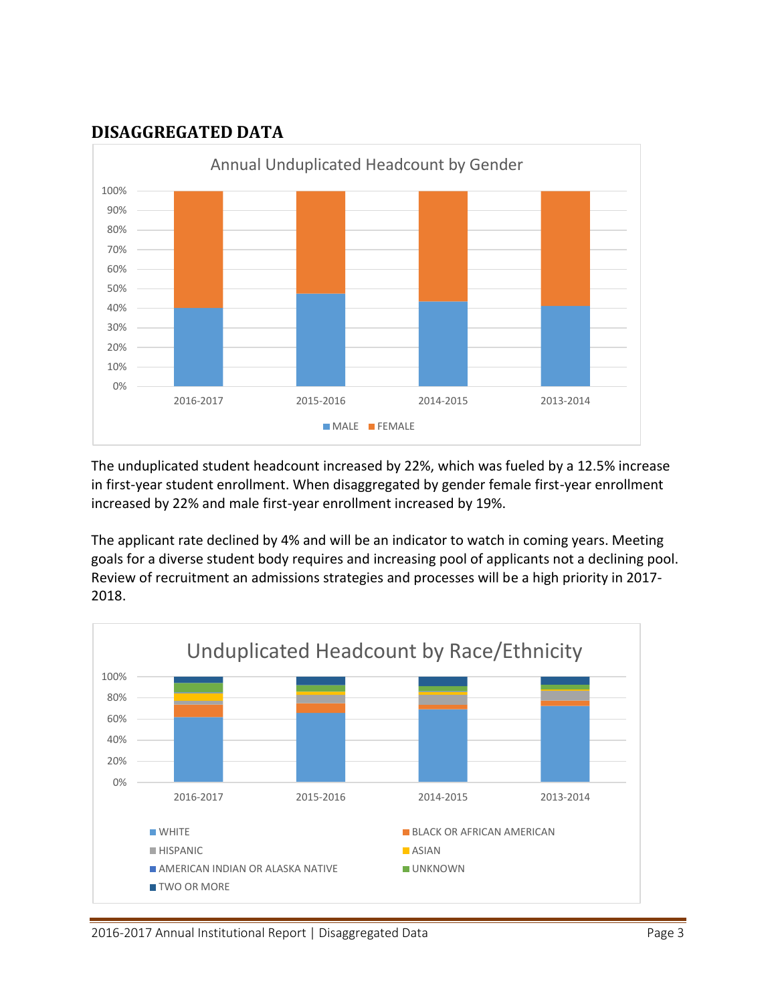## <span id="page-4-0"></span>**DISAGGREGATED DATA**



The unduplicated student headcount increased by 22%, which was fueled by a 12.5% increase in first-year student enrollment. When disaggregated by gender female first-year enrollment increased by 22% and male first-year enrollment increased by 19%.

The applicant rate declined by 4% and will be an indicator to watch in coming years. Meeting goals for a diverse student body requires and increasing pool of applicants not a declining pool. Review of recruitment an admissions strategies and processes will be a high priority in 2017- 2018.

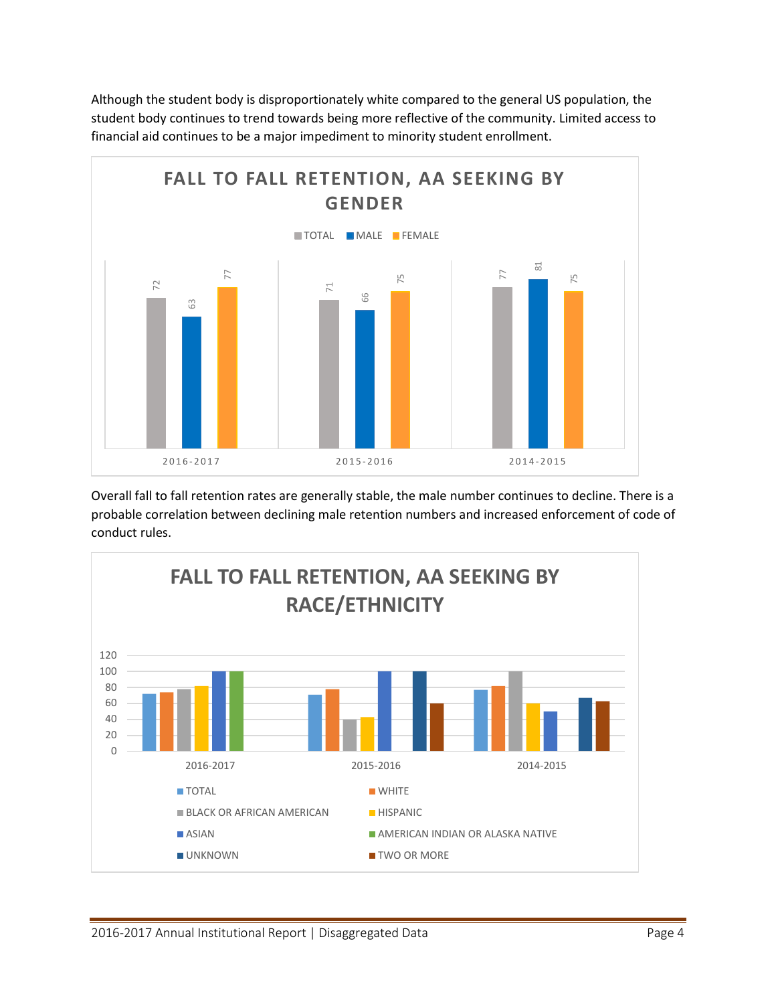Although the student body is disproportionately white compared to the general US population, the student body continues to trend towards being more reflective of the community. Limited access to financial aid continues to be a major impediment to minority student enrollment.



Overall fall to fall retention rates are generally stable, the male number continues to decline. There is a probable correlation between declining male retention numbers and increased enforcement of code of

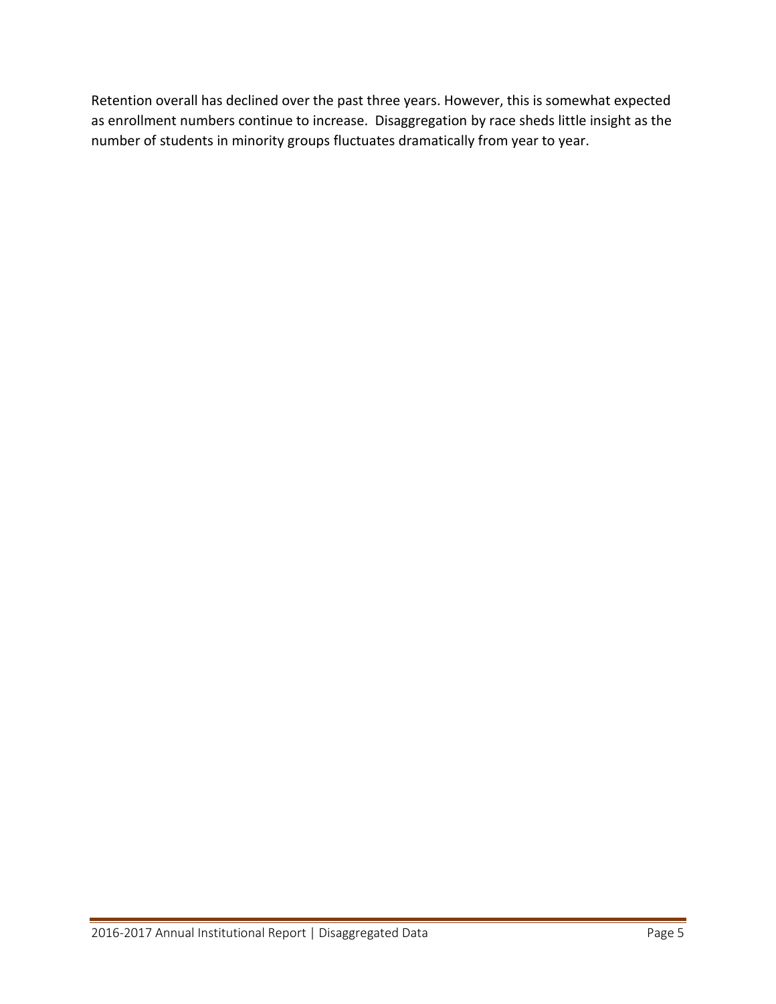Retention overall has declined over the past three years. However, this is somewhat expected as enrollment numbers continue to increase. Disaggregation by race sheds little insight as the number of students in minority groups fluctuates dramatically from year to year.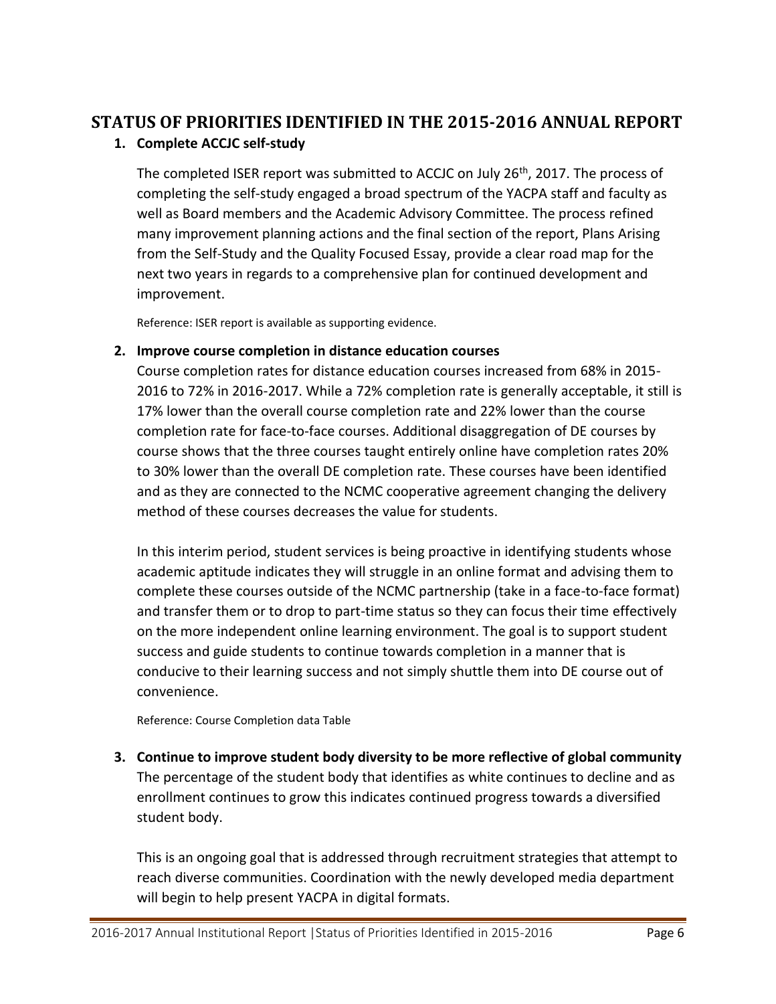# <span id="page-7-0"></span>**STATUS OF PRIORITIES IDENTIFIED IN THE 2015-2016 ANNUAL REPORT**

### **1. Complete ACCJC self-study**

The completed ISER report was submitted to ACCJC on July 26<sup>th</sup>, 2017. The process of completing the self-study engaged a broad spectrum of the YACPA staff and faculty as well as Board members and the Academic Advisory Committee. The process refined many improvement planning actions and the final section of the report, Plans Arising from the Self-Study and the Quality Focused Essay, provide a clear road map for the next two years in regards to a comprehensive plan for continued development and improvement.

Reference: ISER report is available as supporting evidence.

### **2. Improve course completion in distance education courses**

Course completion rates for distance education courses increased from 68% in 2015- 2016 to 72% in 2016-2017. While a 72% completion rate is generally acceptable, it still is 17% lower than the overall course completion rate and 22% lower than the course completion rate for face-to-face courses. Additional disaggregation of DE courses by course shows that the three courses taught entirely online have completion rates 20% to 30% lower than the overall DE completion rate. These courses have been identified and as they are connected to the NCMC cooperative agreement changing the delivery method of these courses decreases the value for students.

In this interim period, student services is being proactive in identifying students whose academic aptitude indicates they will struggle in an online format and advising them to complete these courses outside of the NCMC partnership (take in a face-to-face format) and transfer them or to drop to part-time status so they can focus their time effectively on the more independent online learning environment. The goal is to support student success and guide students to continue towards completion in a manner that is conducive to their learning success and not simply shuttle them into DE course out of convenience.

Reference: Course Completion data Table

**3. Continue to improve student body diversity to be more reflective of global community** The percentage of the student body that identifies as white continues to decline and as enrollment continues to grow this indicates continued progress towards a diversified student body.

This is an ongoing goal that is addressed through recruitment strategies that attempt to reach diverse communities. Coordination with the newly developed media department will begin to help present YACPA in digital formats.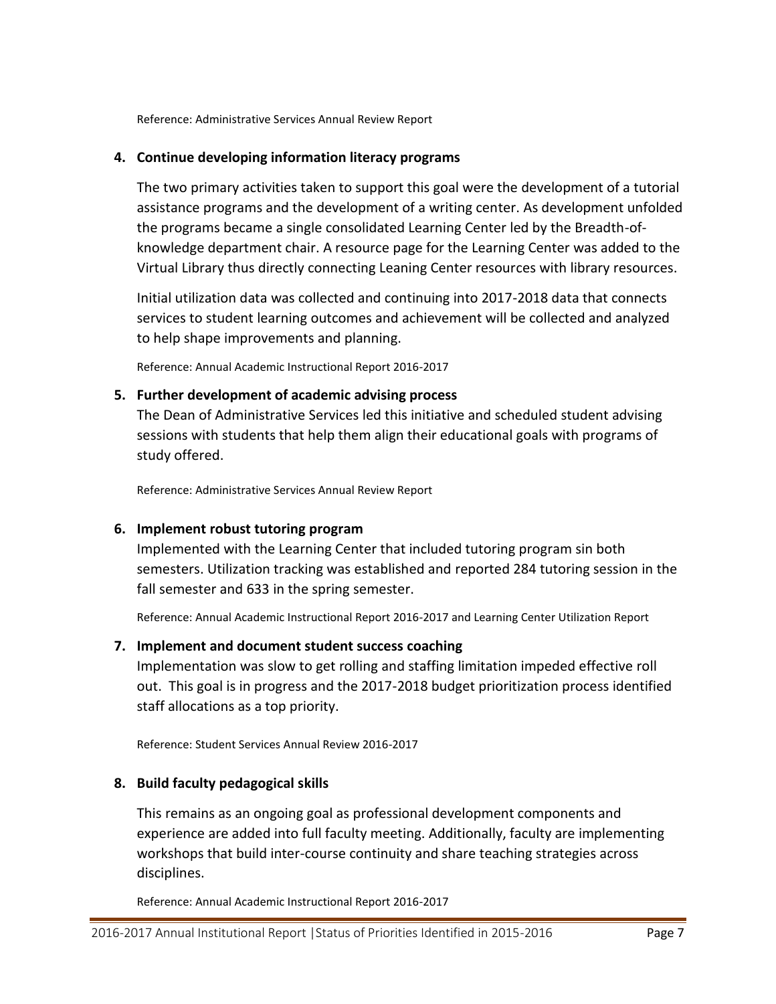Reference: Administrative Services Annual Review Report

#### **4. Continue developing information literacy programs**

The two primary activities taken to support this goal were the development of a tutorial assistance programs and the development of a writing center. As development unfolded the programs became a single consolidated Learning Center led by the Breadth-ofknowledge department chair. A resource page for the Learning Center was added to the Virtual Library thus directly connecting Leaning Center resources with library resources.

Initial utilization data was collected and continuing into 2017-2018 data that connects services to student learning outcomes and achievement will be collected and analyzed to help shape improvements and planning.

Reference: Annual Academic Instructional Report 2016-2017

#### **5. Further development of academic advising process**

The Dean of Administrative Services led this initiative and scheduled student advising sessions with students that help them align their educational goals with programs of study offered.

Reference: Administrative Services Annual Review Report

#### **6. Implement robust tutoring program**

Implemented with the Learning Center that included tutoring program sin both semesters. Utilization tracking was established and reported 284 tutoring session in the fall semester and 633 in the spring semester.

Reference: Annual Academic Instructional Report 2016-2017 and Learning Center Utilization Report

#### **7. Implement and document student success coaching**

Implementation was slow to get rolling and staffing limitation impeded effective roll out. This goal is in progress and the 2017-2018 budget prioritization process identified staff allocations as a top priority.

Reference: Student Services Annual Review 2016-2017

#### **8. Build faculty pedagogical skills**

This remains as an ongoing goal as professional development components and experience are added into full faculty meeting. Additionally, faculty are implementing workshops that build inter-course continuity and share teaching strategies across disciplines.

Reference: Annual Academic Instructional Report 2016-2017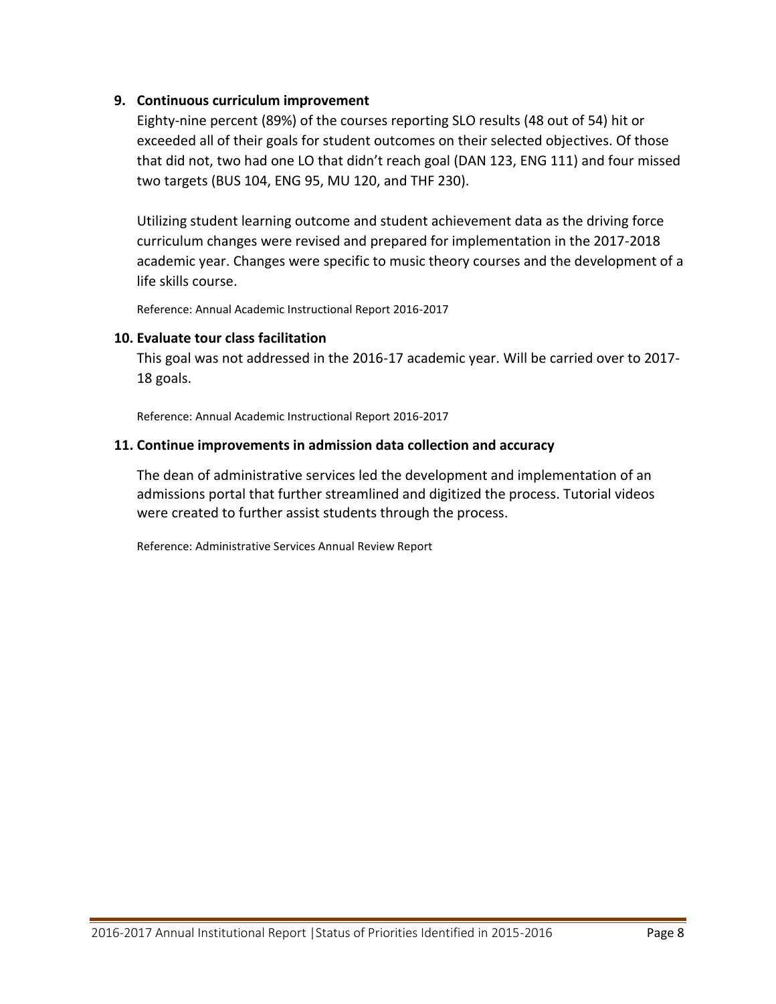### **9. Continuous curriculum improvement**

Eighty-nine percent (89%) of the courses reporting SLO results (48 out of 54) hit or exceeded all of their goals for student outcomes on their selected objectives. Of those that did not, two had one LO that didn't reach goal (DAN 123, ENG 111) and four missed two targets (BUS 104, ENG 95, MU 120, and THF 230).

Utilizing student learning outcome and student achievement data as the driving force curriculum changes were revised and prepared for implementation in the 2017-2018 academic year. Changes were specific to music theory courses and the development of a life skills course.

Reference: Annual Academic Instructional Report 2016-2017

#### **10. Evaluate tour class facilitation**

This goal was not addressed in the 2016-17 academic year. Will be carried over to 2017- 18 goals.

Reference: Annual Academic Instructional Report 2016-2017

### **11. Continue improvements in admission data collection and accuracy**

The dean of administrative services led the development and implementation of an admissions portal that further streamlined and digitized the process. Tutorial videos were created to further assist students through the process.

Reference: Administrative Services Annual Review Report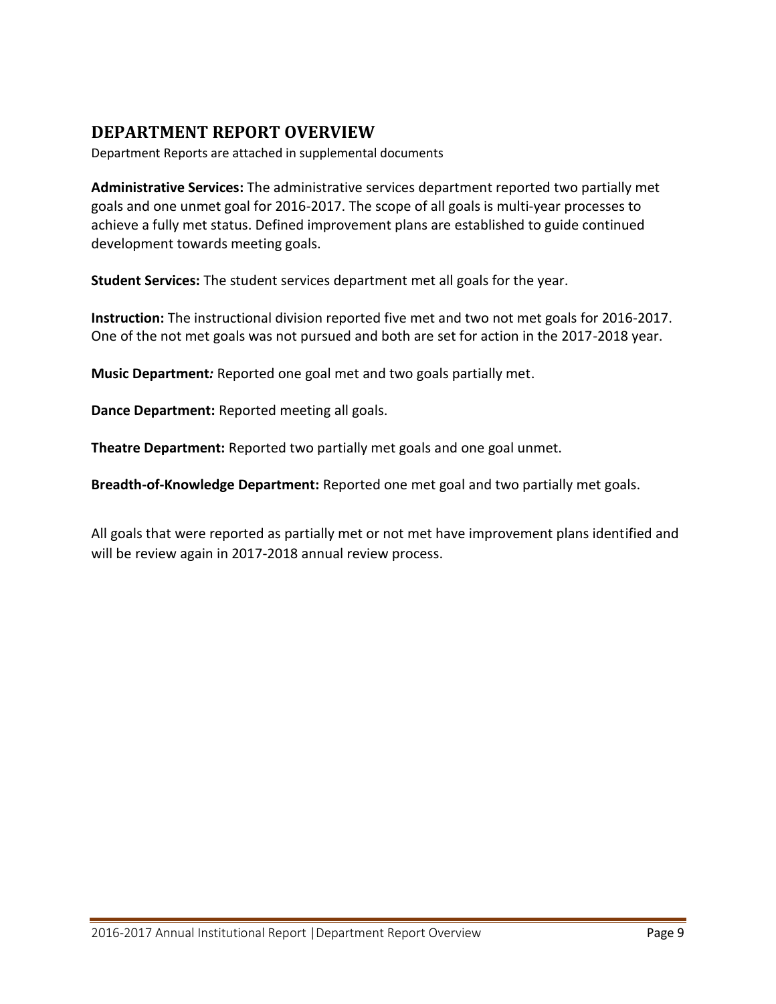### <span id="page-10-0"></span>**DEPARTMENT REPORT OVERVIEW**

Department Reports are attached in supplemental documents

**Administrative Services:** The administrative services department reported two partially met goals and one unmet goal for 2016-2017. The scope of all goals is multi-year processes to achieve a fully met status. Defined improvement plans are established to guide continued development towards meeting goals.

**Student Services:** The student services department met all goals for the year.

**Instruction:** The instructional division reported five met and two not met goals for 2016-2017. One of the not met goals was not pursued and both are set for action in the 2017-2018 year.

**Music Department***:* Reported one goal met and two goals partially met.

**Dance Department:** Reported meeting all goals.

**Theatre Department:** Reported two partially met goals and one goal unmet.

**Breadth-of-Knowledge Department:** Reported one met goal and two partially met goals.

All goals that were reported as partially met or not met have improvement plans identified and will be review again in 2017-2018 annual review process.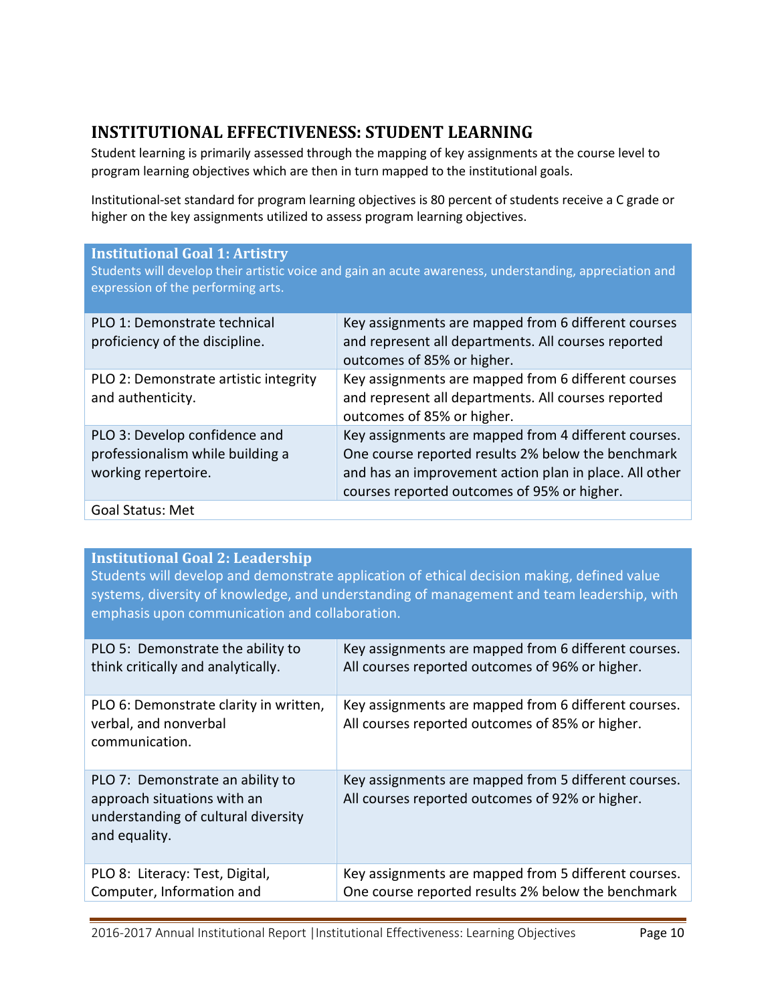# <span id="page-11-0"></span>**INSTITUTIONAL EFFECTIVENESS: STUDENT LEARNING**

Student learning is primarily assessed through the mapping of key assignments at the course level to program learning objectives which are then in turn mapped to the institutional goals.

Institutional-set standard for program learning objectives is 80 percent of students receive a C grade or higher on the key assignments utilized to assess program learning objectives.

#### **Institutional Goal 1: Artistry**

Students will develop their artistic voice and gain an acute awareness, understanding, appreciation and expression of the performing arts.

| PLO 1: Demonstrate technical<br>proficiency of the discipline.                           | Key assignments are mapped from 6 different courses<br>and represent all departments. All courses reported<br>outcomes of 85% or higher.                                                                            |
|------------------------------------------------------------------------------------------|---------------------------------------------------------------------------------------------------------------------------------------------------------------------------------------------------------------------|
| PLO 2: Demonstrate artistic integrity<br>and authenticity.                               | Key assignments are mapped from 6 different courses<br>and represent all departments. All courses reported<br>outcomes of 85% or higher.                                                                            |
| PLO 3: Develop confidence and<br>professionalism while building a<br>working repertoire. | Key assignments are mapped from 4 different courses.<br>One course reported results 2% below the benchmark<br>and has an improvement action plan in place. All other<br>courses reported outcomes of 95% or higher. |
| <b>Goal Status: Met</b>                                                                  |                                                                                                                                                                                                                     |

### **Institutional Goal 2: Leadership**

Students will develop and demonstrate application of ethical decision making, defined value systems, diversity of knowledge, and understanding of management and team leadership, with emphasis upon communication and collaboration.

| PLO 5: Demonstrate the ability to                                                                                       | Key assignments are mapped from 6 different courses.                                                    |
|-------------------------------------------------------------------------------------------------------------------------|---------------------------------------------------------------------------------------------------------|
| think critically and analytically.                                                                                      | All courses reported outcomes of 96% or higher.                                                         |
| PLO 6: Demonstrate clarity in written,<br>verbal, and nonverbal<br>communication.                                       | Key assignments are mapped from 6 different courses.<br>All courses reported outcomes of 85% or higher. |
| PLO 7: Demonstrate an ability to<br>approach situations with an<br>understanding of cultural diversity<br>and equality. | Key assignments are mapped from 5 different courses.<br>All courses reported outcomes of 92% or higher. |
| PLO 8: Literacy: Test, Digital,                                                                                         | Key assignments are mapped from 5 different courses.                                                    |
| Computer, Information and                                                                                               | One course reported results 2% below the benchmark                                                      |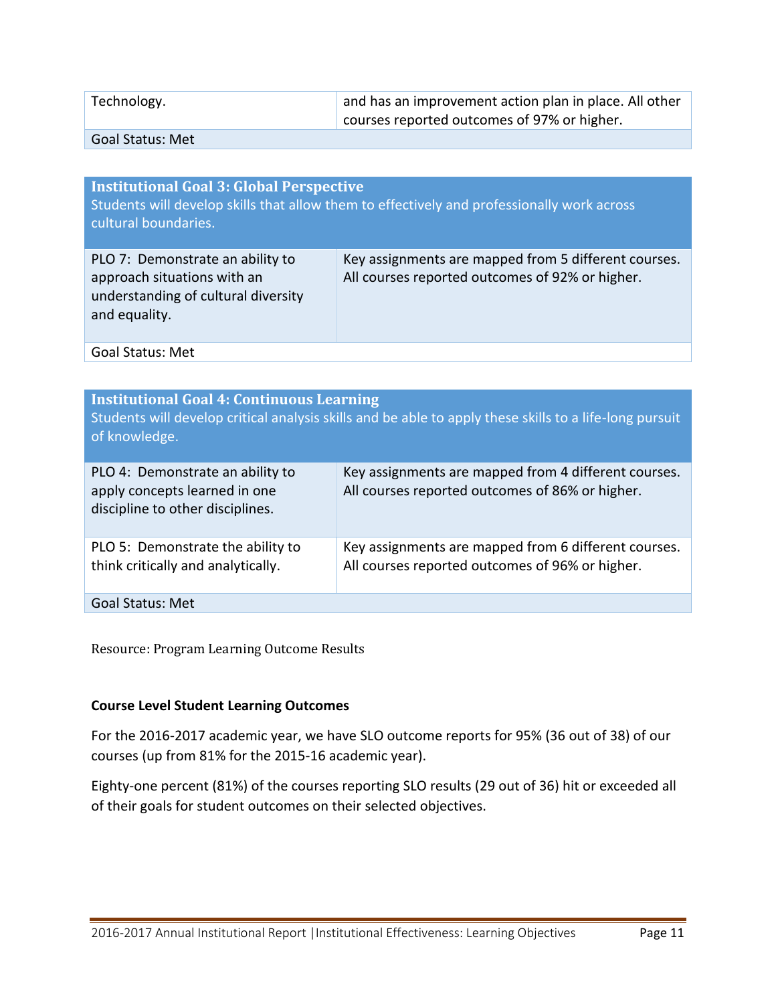| Technology.   | and has an improvement action plan in place. All other |
|---------------|--------------------------------------------------------|
|               | courses reported outcomes of 97% or higher.            |
| $C = L C + L$ |                                                        |

Goal Status: Met

| <b>Institutional Goal 3: Global Perspective</b><br>cultural boundaries.                                                 | Students will develop skills that allow them to effectively and professionally work across              |
|-------------------------------------------------------------------------------------------------------------------------|---------------------------------------------------------------------------------------------------------|
| PLO 7: Demonstrate an ability to<br>approach situations with an<br>understanding of cultural diversity<br>and equality. | Key assignments are mapped from 5 different courses.<br>All courses reported outcomes of 92% or higher. |
| <b>Goal Status: Met</b>                                                                                                 |                                                                                                         |

| <b>Institutional Goal 4: Continuous Learning</b><br>of knowledge.                                     | Students will develop critical analysis skills and be able to apply these skills to a life-long pursuit |
|-------------------------------------------------------------------------------------------------------|---------------------------------------------------------------------------------------------------------|
| PLO 4: Demonstrate an ability to<br>apply concepts learned in one<br>discipline to other disciplines. | Key assignments are mapped from 4 different courses.<br>All courses reported outcomes of 86% or higher. |
| PLO 5: Demonstrate the ability to<br>think critically and analytically.                               | Key assignments are mapped from 6 different courses.<br>All courses reported outcomes of 96% or higher. |
| Goal Status: Met                                                                                      |                                                                                                         |

Resource: Program Learning Outcome Results

### **Course Level Student Learning Outcomes**

For the 2016-2017 academic year, we have SLO outcome reports for 95% (36 out of 38) of our courses (up from 81% for the 2015-16 academic year).

Eighty-one percent (81%) of the courses reporting SLO results (29 out of 36) hit or exceeded all of their goals for student outcomes on their selected objectives.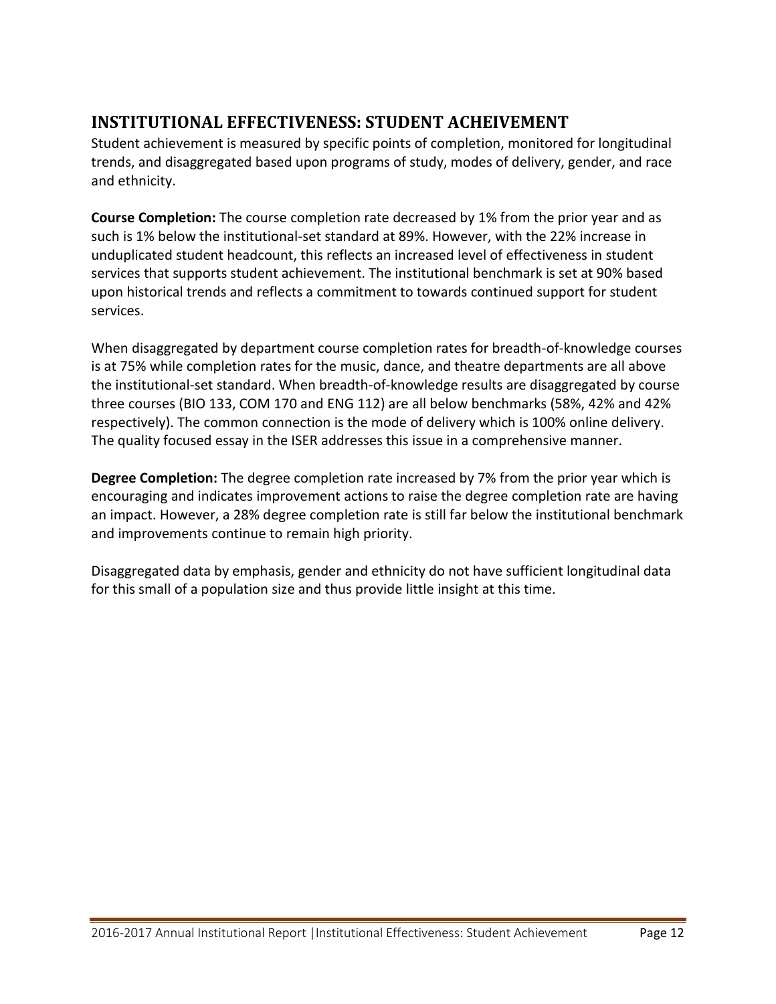# <span id="page-13-0"></span>**INSTITUTIONAL EFFECTIVENESS: STUDENT ACHEIVEMENT**

Student achievement is measured by specific points of completion, monitored for longitudinal trends, and disaggregated based upon programs of study, modes of delivery, gender, and race and ethnicity.

**Course Completion:** The course completion rate decreased by 1% from the prior year and as such is 1% below the institutional-set standard at 89%. However, with the 22% increase in unduplicated student headcount, this reflects an increased level of effectiveness in student services that supports student achievement. The institutional benchmark is set at 90% based upon historical trends and reflects a commitment to towards continued support for student services.

When disaggregated by department course completion rates for breadth-of-knowledge courses is at 75% while completion rates for the music, dance, and theatre departments are all above the institutional-set standard. When breadth-of-knowledge results are disaggregated by course three courses (BIO 133, COM 170 and ENG 112) are all below benchmarks (58%, 42% and 42% respectively). The common connection is the mode of delivery which is 100% online delivery. The quality focused essay in the ISER addresses this issue in a comprehensive manner.

**Degree Completion:** The degree completion rate increased by 7% from the prior year which is encouraging and indicates improvement actions to raise the degree completion rate are having an impact. However, a 28% degree completion rate is still far below the institutional benchmark and improvements continue to remain high priority.

Disaggregated data by emphasis, gender and ethnicity do not have sufficient longitudinal data for this small of a population size and thus provide little insight at this time.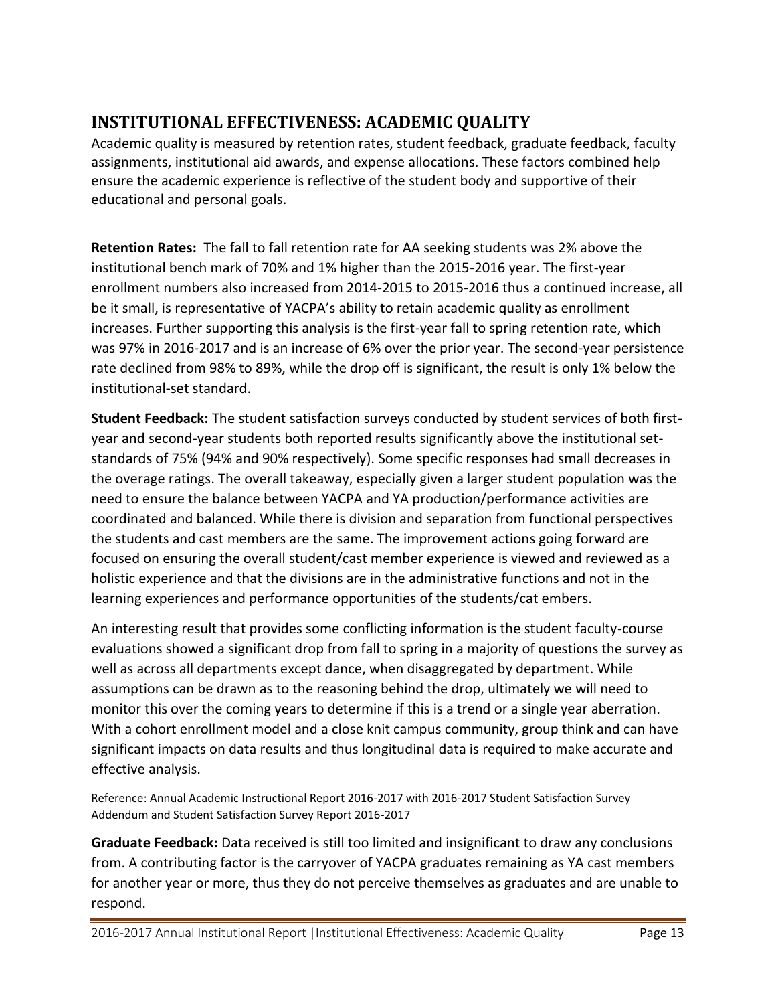# <span id="page-14-0"></span>**INSTITUTIONAL EFFECTIVENESS: ACADEMIC QUALITY**

Academic quality is measured by retention rates, student feedback, graduate feedback, faculty assignments, institutional aid awards, and expense allocations. These factors combined help ensure the academic experience is reflective of the student body and supportive of their educational and personal goals.

**Retention Rates:** The fall to fall retention rate for AA seeking students was 2% above the institutional bench mark of 70% and 1% higher than the 2015-2016 year. The first-year enrollment numbers also increased from 2014-2015 to 2015-2016 thus a continued increase, all be it small, is representative of YACPA's ability to retain academic quality as enrollment increases. Further supporting this analysis is the first-year fall to spring retention rate, which was 97% in 2016-2017 and is an increase of 6% over the prior year. The second-year persistence rate declined from 98% to 89%, while the drop off is significant, the result is only 1% below the institutional-set standard.

**Student Feedback:** The student satisfaction surveys conducted by student services of both firstyear and second-year students both reported results significantly above the institutional setstandards of 75% (94% and 90% respectively). Some specific responses had small decreases in the overage ratings. The overall takeaway, especially given a larger student population was the need to ensure the balance between YACPA and YA production/performance activities are coordinated and balanced. While there is division and separation from functional perspectives the students and cast members are the same. The improvement actions going forward are focused on ensuring the overall student/cast member experience is viewed and reviewed as a holistic experience and that the divisions are in the administrative functions and not in the learning experiences and performance opportunities of the students/cat embers.

An interesting result that provides some conflicting information is the student faculty-course evaluations showed a significant drop from fall to spring in a majority of questions the survey as well as across all departments except dance, when disaggregated by department. While assumptions can be drawn as to the reasoning behind the drop, ultimately we will need to monitor this over the coming years to determine if this is a trend or a single year aberration. With a cohort enrollment model and a close knit campus community, group think and can have significant impacts on data results and thus longitudinal data is required to make accurate and effective analysis.

Reference: Annual Academic Instructional Report 2016-2017 with 2016-2017 Student Satisfaction Survey Addendum and Student Satisfaction Survey Report 2016-2017

**Graduate Feedback:** Data received is still too limited and insignificant to draw any conclusions from. A contributing factor is the carryover of YACPA graduates remaining as YA cast members for another year or more, thus they do not perceive themselves as graduates and are unable to respond.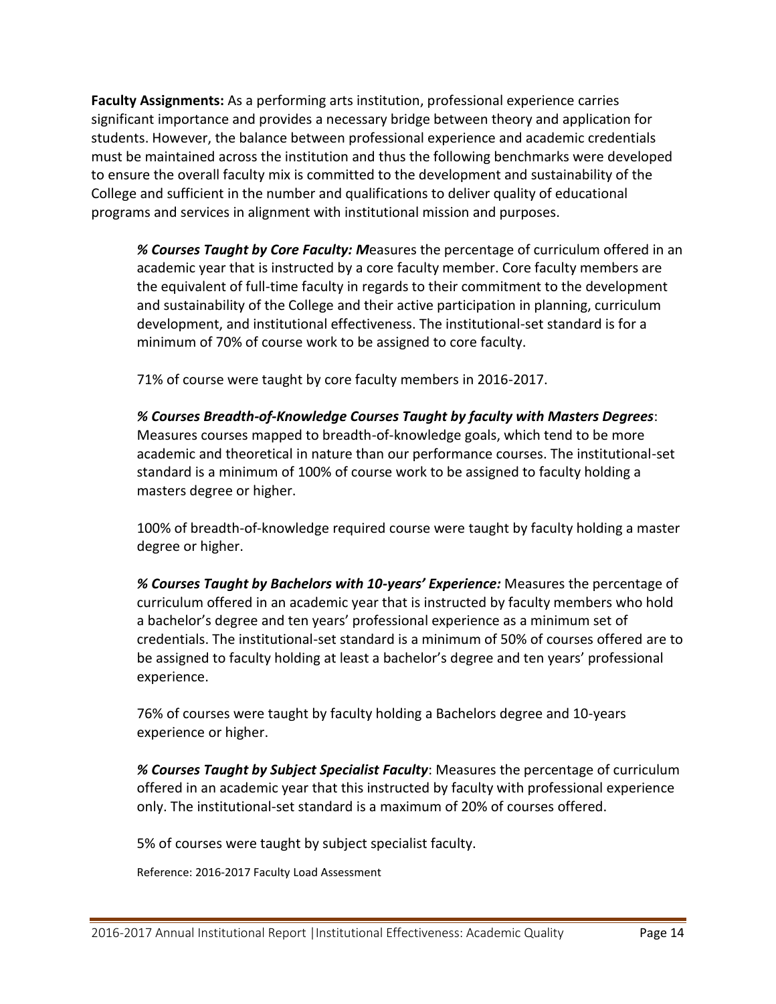**Faculty Assignments:** As a performing arts institution, professional experience carries significant importance and provides a necessary bridge between theory and application for students. However, the balance between professional experience and academic credentials must be maintained across the institution and thus the following benchmarks were developed to ensure the overall faculty mix is committed to the development and sustainability of the College and sufficient in the number and qualifications to deliver quality of educational programs and services in alignment with institutional mission and purposes.

*% Courses Taught by Core Faculty: M*easures the percentage of curriculum offered in an academic year that is instructed by a core faculty member. Core faculty members are the equivalent of full-time faculty in regards to their commitment to the development and sustainability of the College and their active participation in planning, curriculum development, and institutional effectiveness. The institutional-set standard is for a minimum of 70% of course work to be assigned to core faculty.

71% of course were taught by core faculty members in 2016-2017.

*% Courses Breadth-of-Knowledge Courses Taught by faculty with Masters Degrees*: Measures courses mapped to breadth-of-knowledge goals, which tend to be more academic and theoretical in nature than our performance courses. The institutional-set standard is a minimum of 100% of course work to be assigned to faculty holding a masters degree or higher.

100% of breadth-of-knowledge required course were taught by faculty holding a master degree or higher.

*% Courses Taught by Bachelors with 10-years' Experience:* Measures the percentage of curriculum offered in an academic year that is instructed by faculty members who hold a bachelor's degree and ten years' professional experience as a minimum set of credentials. The institutional-set standard is a minimum of 50% of courses offered are to be assigned to faculty holding at least a bachelor's degree and ten years' professional experience.

76% of courses were taught by faculty holding a Bachelors degree and 10-years experience or higher.

*% Courses Taught by Subject Specialist Faculty*: Measures the percentage of curriculum offered in an academic year that this instructed by faculty with professional experience only. The institutional-set standard is a maximum of 20% of courses offered.

5% of courses were taught by subject specialist faculty.

Reference: 2016-2017 Faculty Load Assessment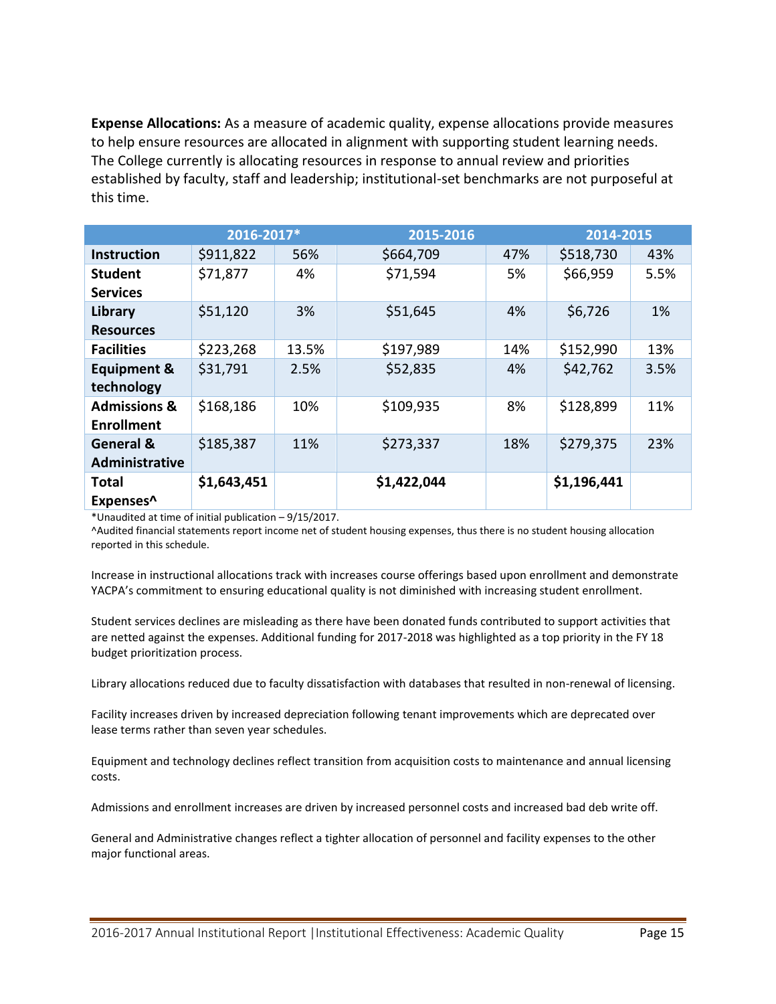**Expense Allocations:** As a measure of academic quality, expense allocations provide measures to help ensure resources are allocated in alignment with supporting student learning needs. The College currently is allocating resources in response to annual review and priorities established by faculty, staff and leadership; institutional-set benchmarks are not purposeful at this time.

|                         | 2016-2017*  |       | 2015-2016   |     | 2014-2015   |      |
|-------------------------|-------------|-------|-------------|-----|-------------|------|
| <b>Instruction</b>      | \$911,822   | 56%   | \$664,709   | 47% | \$518,730   | 43%  |
| <b>Student</b>          | \$71,877    | 4%    | \$71,594    | 5%  | \$66,959    | 5.5% |
| <b>Services</b>         |             |       |             |     |             |      |
| Library                 | \$51,120    | 3%    | \$51,645    | 4%  | \$6,726     | 1%   |
| <b>Resources</b>        |             |       |             |     |             |      |
| <b>Facilities</b>       | \$223,268   | 13.5% | \$197,989   | 14% | \$152,990   | 13%  |
| <b>Equipment &amp;</b>  | \$31,791    | 2.5%  | \$52,835    | 4%  | \$42,762    | 3.5% |
| technology              |             |       |             |     |             |      |
| <b>Admissions &amp;</b> | \$168,186   | 10%   | \$109,935   | 8%  | \$128,899   | 11%  |
| <b>Enrollment</b>       |             |       |             |     |             |      |
| General &               | \$185,387   | 11%   | \$273,337   | 18% | \$279,375   | 23%  |
| Administrative          |             |       |             |     |             |      |
| <b>Total</b>            | \$1,643,451 |       | \$1,422,044 |     | \$1,196,441 |      |
| Expenses <sup>^</sup>   |             |       |             |     |             |      |

\*Unaudited at time of initial publication – 9/15/2017.

^Audited financial statements report income net of student housing expenses, thus there is no student housing allocation reported in this schedule.

Increase in instructional allocations track with increases course offerings based upon enrollment and demonstrate YACPA's commitment to ensuring educational quality is not diminished with increasing student enrollment.

Student services declines are misleading as there have been donated funds contributed to support activities that are netted against the expenses. Additional funding for 2017-2018 was highlighted as a top priority in the FY 18 budget prioritization process.

Library allocations reduced due to faculty dissatisfaction with databases that resulted in non-renewal of licensing.

Facility increases driven by increased depreciation following tenant improvements which are deprecated over lease terms rather than seven year schedules.

Equipment and technology declines reflect transition from acquisition costs to maintenance and annual licensing costs.

Admissions and enrollment increases are driven by increased personnel costs and increased bad deb write off.

General and Administrative changes reflect a tighter allocation of personnel and facility expenses to the other major functional areas.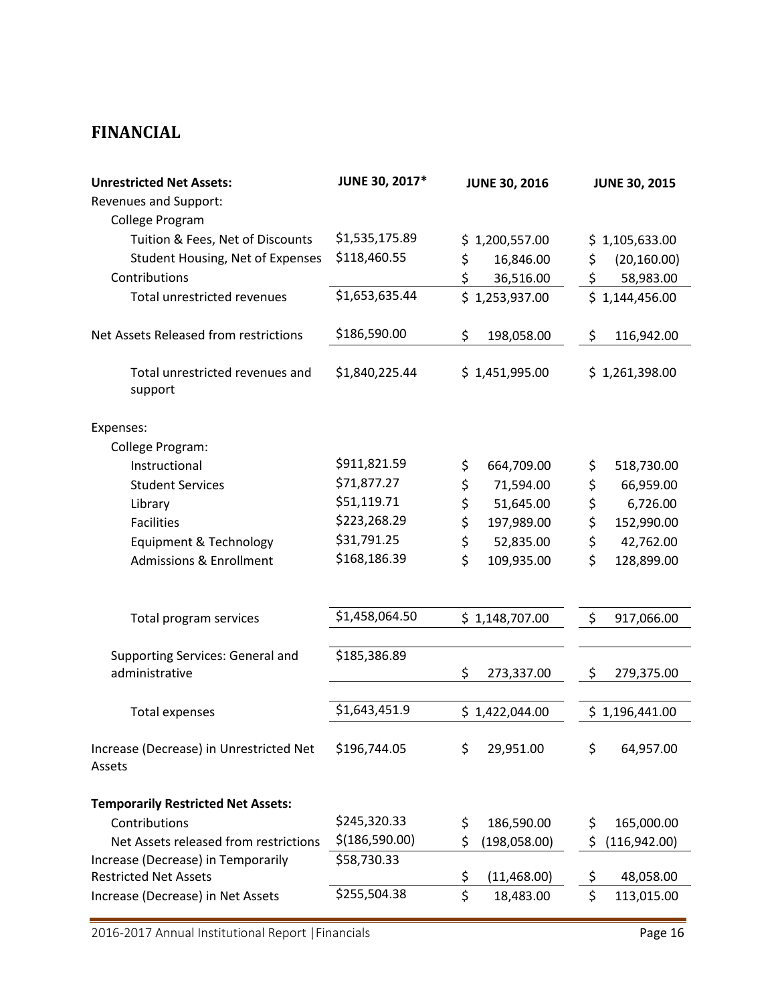## <span id="page-17-0"></span>**FINANCIAL**

| <b>Unrestricted Net Assets:</b><br>Revenues and Support:<br>College Program | JUNE 30, 2017* | <b>JUNE 30, 2016</b> | <b>JUNE 30, 2015</b> |
|-----------------------------------------------------------------------------|----------------|----------------------|----------------------|
| Tuition & Fees, Net of Discounts                                            | \$1,535,175.89 | \$1,200,557.00       | \$1,105,633.00       |
| Student Housing, Net of Expenses                                            | \$118,460.55   | \$<br>16,846.00      | \$<br>(20, 160.00)   |
| Contributions                                                               |                | \$<br>36,516.00      | \$<br>58,983.00      |
| Total unrestricted revenues                                                 | \$1,653,635.44 | \$1,253,937.00       | \$1,144,456.00       |
| Net Assets Released from restrictions                                       | \$186,590.00   | \$<br>198,058.00     | \$<br>116,942.00     |
| Total unrestricted revenues and<br>support                                  | \$1,840,225.44 | \$1,451,995.00       | \$1,261,398.00       |
| Expenses:                                                                   |                |                      |                      |
| College Program:                                                            |                |                      |                      |
| Instructional                                                               | \$911,821.59   | \$<br>664,709.00     | \$<br>518,730.00     |
| <b>Student Services</b>                                                     | \$71,877.27    | \$<br>71,594.00      | \$<br>66,959.00      |
| Library                                                                     | \$51,119.71    | \$<br>51,645.00      | \$<br>6,726.00       |
| <b>Facilities</b>                                                           | \$223,268.29   | \$<br>197,989.00     | \$<br>152,990.00     |
| Equipment & Technology                                                      | \$31,791.25    | \$<br>52,835.00      | \$<br>42,762.00      |
| <b>Admissions &amp; Enrollment</b>                                          | \$168,186.39   | \$<br>109,935.00     | \$<br>128,899.00     |
| Total program services                                                      | \$1,458,064.50 | \$1,148,707.00       | \$<br>917,066.00     |
|                                                                             |                |                      |                      |
| <b>Supporting Services: General and</b>                                     | \$185,386.89   |                      |                      |
| administrative                                                              |                | \$<br>273,337.00     | \$<br>279,375.00     |
|                                                                             | \$1,643,451.9  |                      |                      |
| Total expenses                                                              |                | \$1,422,044.00       | \$1,196,441.00       |
| Increase (Decrease) in Unrestricted Net<br>Assets                           | \$196,744.05   | 29,951.00<br>\$      | \$<br>64,957.00      |
| <b>Temporarily Restricted Net Assets:</b>                                   |                |                      |                      |
| Contributions                                                               | \$245,320.33   | \$<br>186,590.00     | \$<br>165,000.00     |
| Net Assets released from restrictions                                       | \$(186,590.00) | (198,058.00)<br>\$   | \$<br>(116, 942.00)  |
| Increase (Decrease) in Temporarily                                          | \$58,730.33    |                      |                      |
| <b>Restricted Net Assets</b>                                                |                | \$<br>(11, 468.00)   | 48,058.00<br>\$      |
| Increase (Decrease) in Net Assets                                           | \$255,504.38   | \$<br>18,483.00      | \$<br>113,015.00     |

2016-2017 Annual Institutional Report |Financials Page 16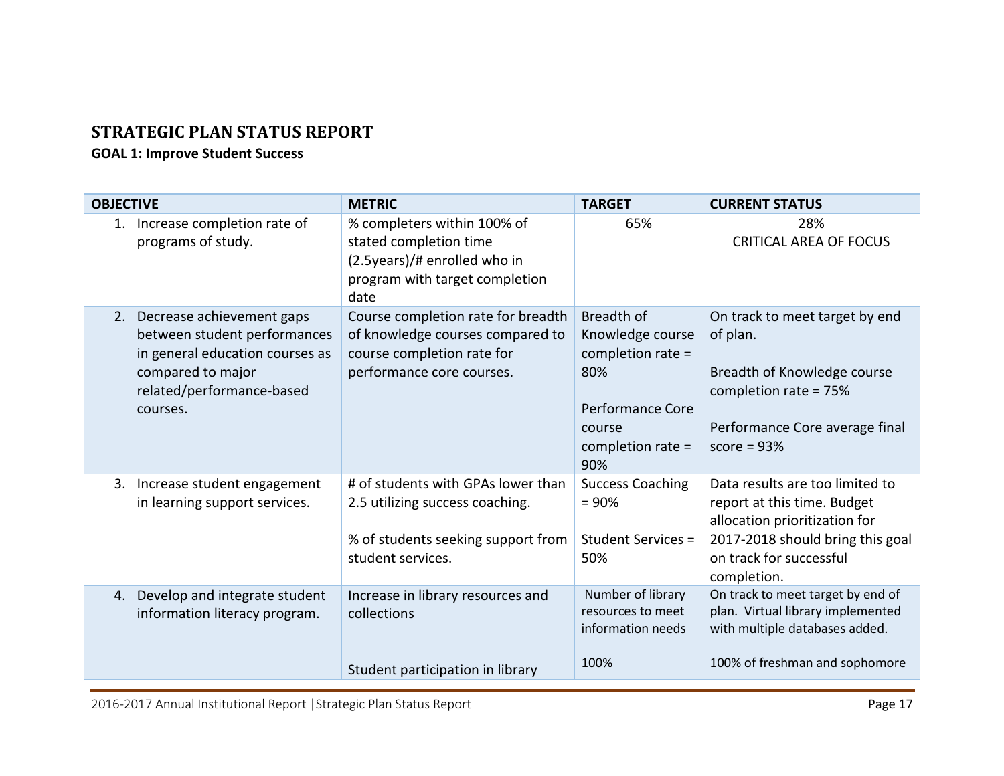# **STRATEGIC PLAN STATUS REPORT**

### **GOAL 1: Improve Student Success**

<span id="page-18-0"></span>

| <b>METRIC</b>                                                                                                                     | <b>TARGET</b>                                                                                                                 | <b>CURRENT STATUS</b>                                                                                                                                                         |
|-----------------------------------------------------------------------------------------------------------------------------------|-------------------------------------------------------------------------------------------------------------------------------|-------------------------------------------------------------------------------------------------------------------------------------------------------------------------------|
| % completers within 100% of<br>stated completion time<br>(2.5years)/# enrolled who in<br>program with target completion<br>date   | 65%                                                                                                                           | 28%<br><b>CRITICAL AREA OF FOCUS</b>                                                                                                                                          |
| Course completion rate for breadth<br>of knowledge courses compared to<br>course completion rate for<br>performance core courses. | Breadth of<br>Knowledge course<br>completion rate =<br>80%<br><b>Performance Core</b><br>course<br>completion rate $=$<br>90% | On track to meet target by end<br>of plan.<br>Breadth of Knowledge course<br>completion rate = 75%<br>Performance Core average final<br>score = $93%$                         |
| # of students with GPAs lower than<br>2.5 utilizing success coaching.<br>% of students seeking support from<br>student services.  | <b>Success Coaching</b><br>$= 90%$<br>Student Services =<br>50%                                                               | Data results are too limited to<br>report at this time. Budget<br>allocation prioritization for<br>2017-2018 should bring this goal<br>on track for successful<br>completion. |
| Increase in library resources and<br>collections                                                                                  | Number of library<br>resources to meet<br>information needs<br>100%                                                           | On track to meet target by end of<br>plan. Virtual library implemented<br>with multiple databases added.<br>100% of freshman and sophomore                                    |
|                                                                                                                                   | Student participation in library                                                                                              |                                                                                                                                                                               |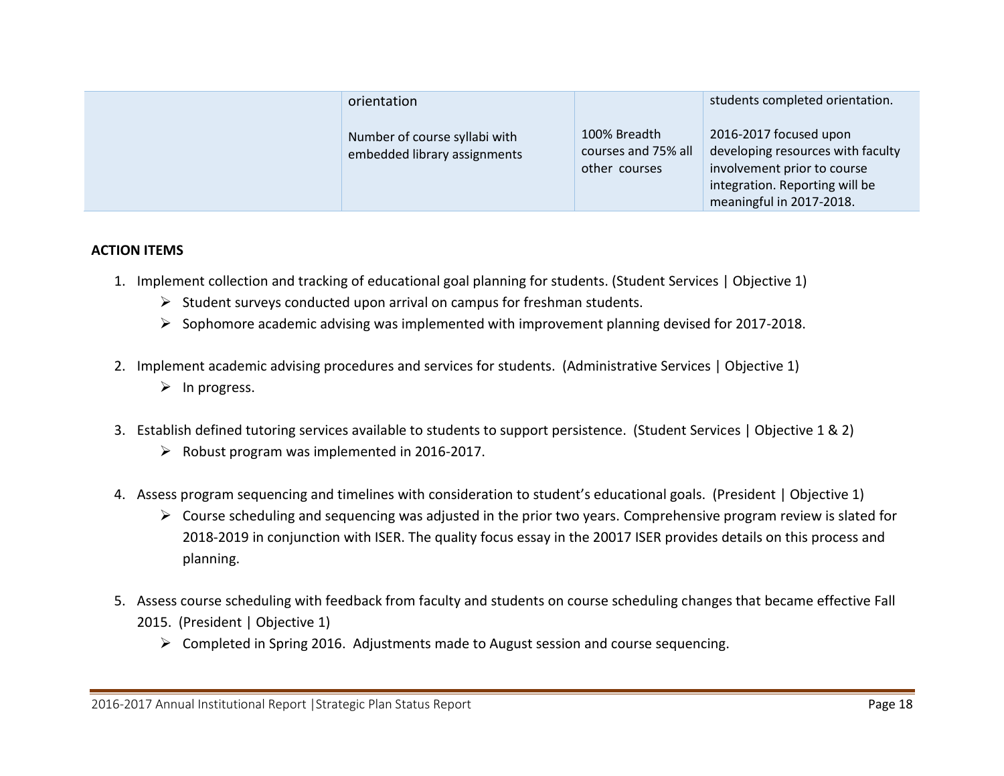| orientation                                                   |                                                      | students completed orientation.                                                                                                                          |
|---------------------------------------------------------------|------------------------------------------------------|----------------------------------------------------------------------------------------------------------------------------------------------------------|
| Number of course syllabi with<br>embedded library assignments | 100% Breadth<br>courses and 75% all<br>other courses | 2016-2017 focused upon<br>developing resources with faculty<br>involvement prior to course<br>integration. Reporting will be<br>meaningful in 2017-2018. |

#### **ACTION ITEMS**

- 1. Implement collection and tracking of educational goal planning for students. (Student Services | Objective 1)
	- $\triangleright$  Student surveys conducted upon arrival on campus for freshman students.
	- $\triangleright$  Sophomore academic advising was implemented with improvement planning devised for 2017-2018.
- 2. Implement academic advising procedures and services for students. (Administrative Services | Objective 1)  $\triangleright$  In progress.
- 3. Establish defined tutoring services available to students to support persistence. (Student Services | Objective 1 & 2)
	- $\triangleright$  Robust program was implemented in 2016-2017.
- 4. Assess program sequencing and timelines with consideration to student's educational goals. (President | Objective 1)
	- $\triangleright$  Course scheduling and sequencing was adjusted in the prior two years. Comprehensive program review is slated for 2018-2019 in conjunction with ISER. The quality focus essay in the 20017 ISER provides details on this process and planning.
- 5. Assess course scheduling with feedback from faculty and students on course scheduling changes that became effective Fall 2015. (President | Objective 1)
	- Completed in Spring 2016. Adjustments made to August session and course sequencing.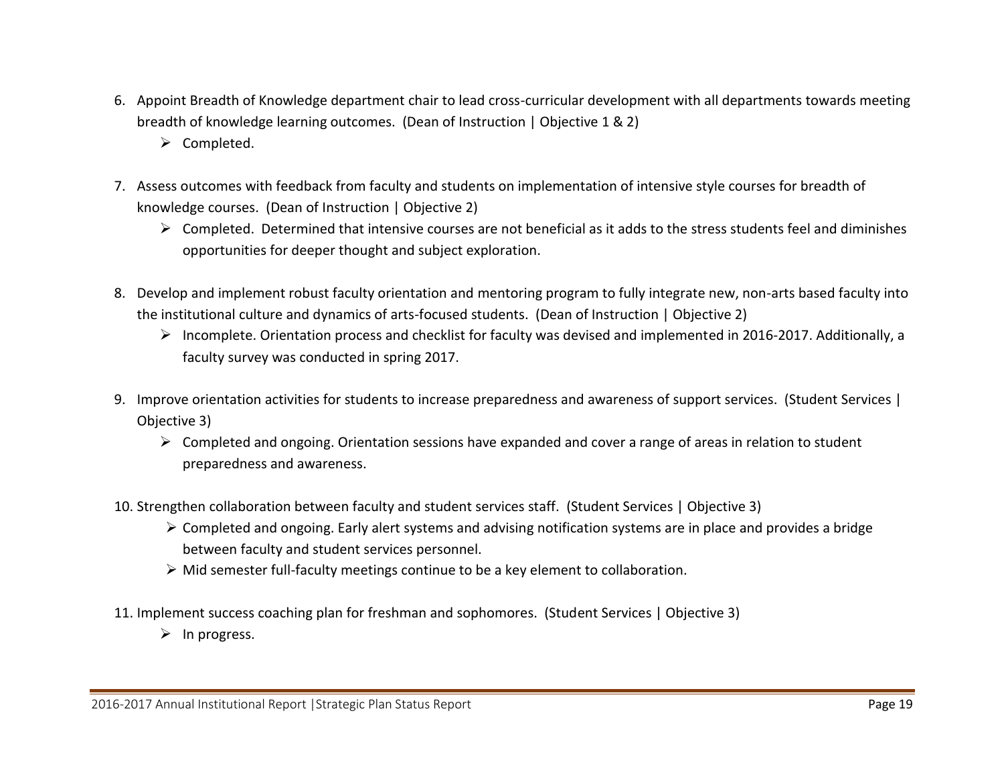- 6. Appoint Breadth of Knowledge department chair to lead cross-curricular development with all departments towards meeting breadth of knowledge learning outcomes. (Dean of Instruction | Objective 1 & 2)
	- $\triangleright$  Completed.
- 7. Assess outcomes with feedback from faculty and students on implementation of intensive style courses for breadth of knowledge courses. (Dean of Instruction | Objective 2)
	- $\triangleright$  Completed. Determined that intensive courses are not beneficial as it adds to the stress students feel and diminishes opportunities for deeper thought and subject exploration.
- 8. Develop and implement robust faculty orientation and mentoring program to fully integrate new, non-arts based faculty into the institutional culture and dynamics of arts-focused students. (Dean of Instruction | Objective 2)
	- Incomplete. Orientation process and checklist for faculty was devised and implemented in 2016-2017. Additionally, a faculty survey was conducted in spring 2017.
- 9. Improve orientation activities for students to increase preparedness and awareness of support services. (Student Services | Objective 3)
	- $\triangleright$  Completed and ongoing. Orientation sessions have expanded and cover a range of areas in relation to student preparedness and awareness.
- 10. Strengthen collaboration between faculty and student services staff. (Student Services | Objective 3)
	- Completed and ongoing. Early alert systems and advising notification systems are in place and provides a bridge between faculty and student services personnel.
	- Mid semester full-faculty meetings continue to be a key element to collaboration.
- 11. Implement success coaching plan for freshman and sophomores. (Student Services | Objective 3)
	- $\triangleright$  In progress.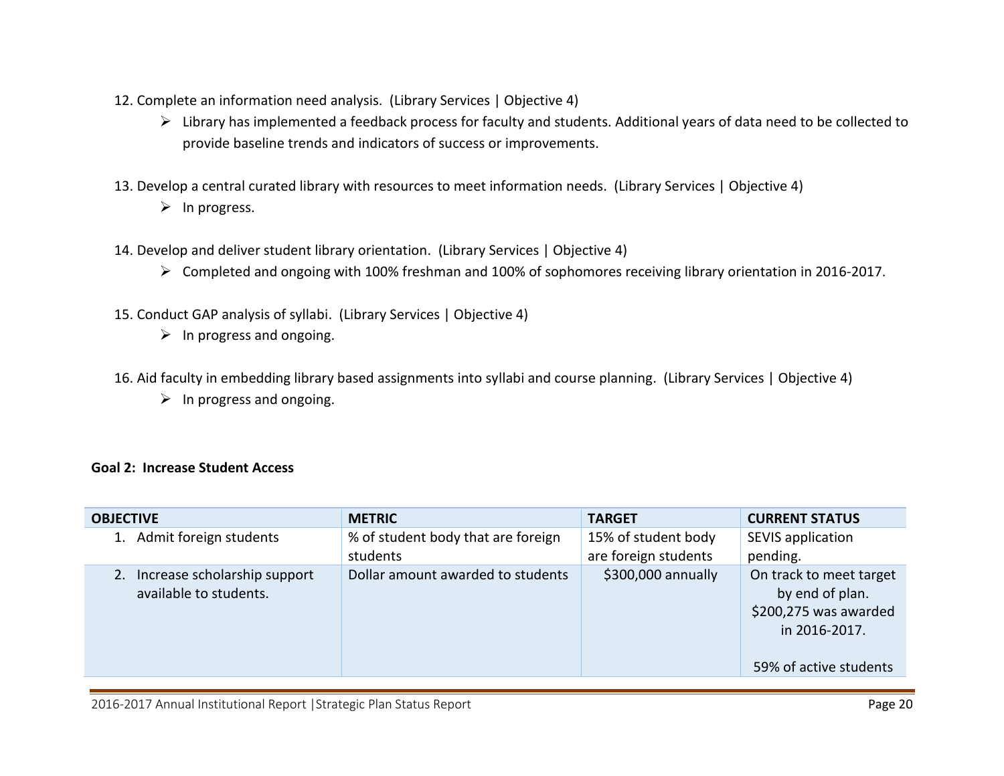- 12. Complete an information need analysis. (Library Services | Objective 4)
	- Library has implemented a feedback process for faculty and students. Additional years of data need to be collected to provide baseline trends and indicators of success or improvements.
- 13. Develop a central curated library with resources to meet information needs. (Library Services | Objective 4)
	- $\triangleright$  In progress.
- 14. Develop and deliver student library orientation. (Library Services | Objective 4)
	- Completed and ongoing with 100% freshman and 100% of sophomores receiving library orientation in 2016-2017.
- 15. Conduct GAP analysis of syllabi. (Library Services | Objective 4)
	- $\triangleright$  In progress and ongoing.
- 16. Aid faculty in embedding library based assignments into syllabi and course planning. (Library Services | Objective 4)
	- $\triangleright$  In progress and ongoing.

#### **Goal 2: Increase Student Access**

| <b>OBJECTIVE</b>                                             | <b>METRIC</b>                                  | <b>TARGET</b>                               | <b>CURRENT STATUS</b>                                                                                          |
|--------------------------------------------------------------|------------------------------------------------|---------------------------------------------|----------------------------------------------------------------------------------------------------------------|
| Admit foreign students                                       | % of student body that are foreign<br>students | 15% of student body<br>are foreign students | SEVIS application<br>pending.                                                                                  |
| Increase scholarship support<br>2.<br>available to students. | Dollar amount awarded to students              | \$300,000 annually                          | On track to meet target<br>by end of plan.<br>\$200,275 was awarded<br>in 2016-2017.<br>59% of active students |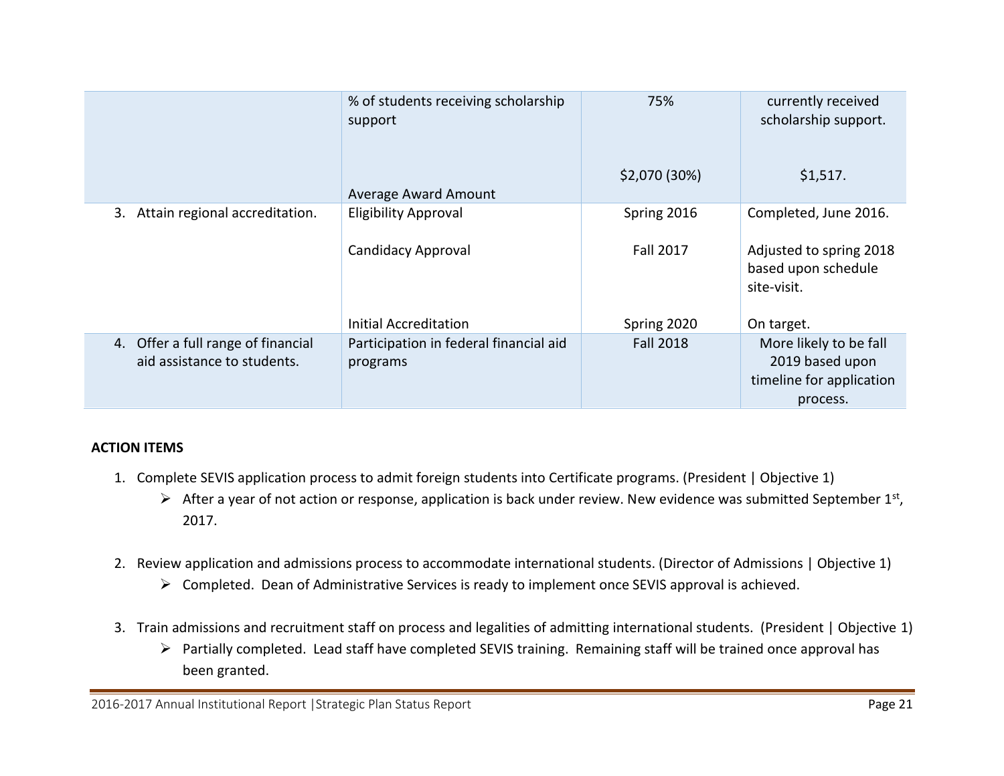|                                                                   | % of students receiving scholarship<br>support     | 75%              | currently received<br>scholarship support.                                        |
|-------------------------------------------------------------------|----------------------------------------------------|------------------|-----------------------------------------------------------------------------------|
|                                                                   | <b>Average Award Amount</b>                        | \$2,070 (30%)    | \$1,517.                                                                          |
| Attain regional accreditation.<br>3.                              | <b>Eligibility Approval</b>                        | Spring 2016      | Completed, June 2016.                                                             |
|                                                                   | <b>Candidacy Approval</b>                          | <b>Fall 2017</b> | Adjusted to spring 2018<br>based upon schedule<br>site-visit.                     |
|                                                                   | <b>Initial Accreditation</b>                       | Spring 2020      | On target.                                                                        |
| 4. Offer a full range of financial<br>aid assistance to students. | Participation in federal financial aid<br>programs | <b>Fall 2018</b> | More likely to be fall<br>2019 based upon<br>timeline for application<br>process. |

### **ACTION ITEMS**

- 1. Complete SEVIS application process to admit foreign students into Certificate programs. (President | Objective 1)
	- $\triangleright$  After a year of not action or response, application is back under review. New evidence was submitted September 1st, 2017.
- 2. Review application and admissions process to accommodate international students. (Director of Admissions | Objective 1)
	- Completed. Dean of Administrative Services is ready to implement once SEVIS approval is achieved.
- 3. Train admissions and recruitment staff on process and legalities of admitting international students. (President | Objective 1)
	- Partially completed. Lead staff have completed SEVIS training. Remaining staff will be trained once approval has been granted.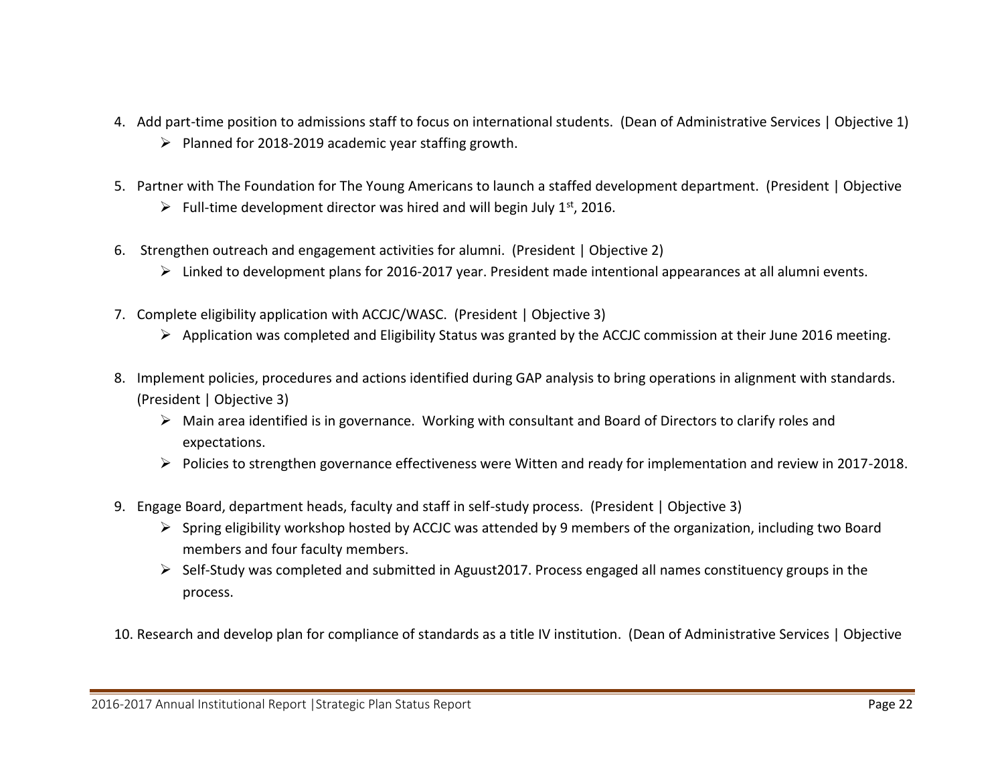- 4. Add part-time position to admissions staff to focus on international students. (Dean of Administrative Services | Objective 1)  $\triangleright$  Planned for 2018-2019 academic year staffing growth.
- 5. Partner with The Foundation for The Young Americans to launch a staffed development department. (President | Objective
	- $\triangleright$  Full-time development director was hired and will begin July 1<sup>st</sup>, 2016.
- 6. Strengthen outreach and engagement activities for alumni. (President | Objective 2)
	- Linked to development plans for 2016-2017 year. President made intentional appearances at all alumni events.
- 7. Complete eligibility application with ACCJC/WASC. (President | Objective 3)
	- $\triangleright$  Application was completed and Eligibility Status was granted by the ACCJC commission at their June 2016 meeting.
- 8. Implement policies, procedures and actions identified during GAP analysis to bring operations in alignment with standards. (President | Objective 3)
	- Main area identified is in governance. Working with consultant and Board of Directors to clarify roles and expectations.
	- Policies to strengthen governance effectiveness were Witten and ready for implementation and review in 2017-2018.
- 9. Engage Board, department heads, faculty and staff in self-study process. (President | Objective 3)
	- $\triangleright$  Spring eligibility workshop hosted by ACCJC was attended by 9 members of the organization, including two Board members and four faculty members.
	- Self-Study was completed and submitted in Aguust2017. Process engaged all names constituency groups in the process.

10. Research and develop plan for compliance of standards as a title IV institution. (Dean of Administrative Services | Objective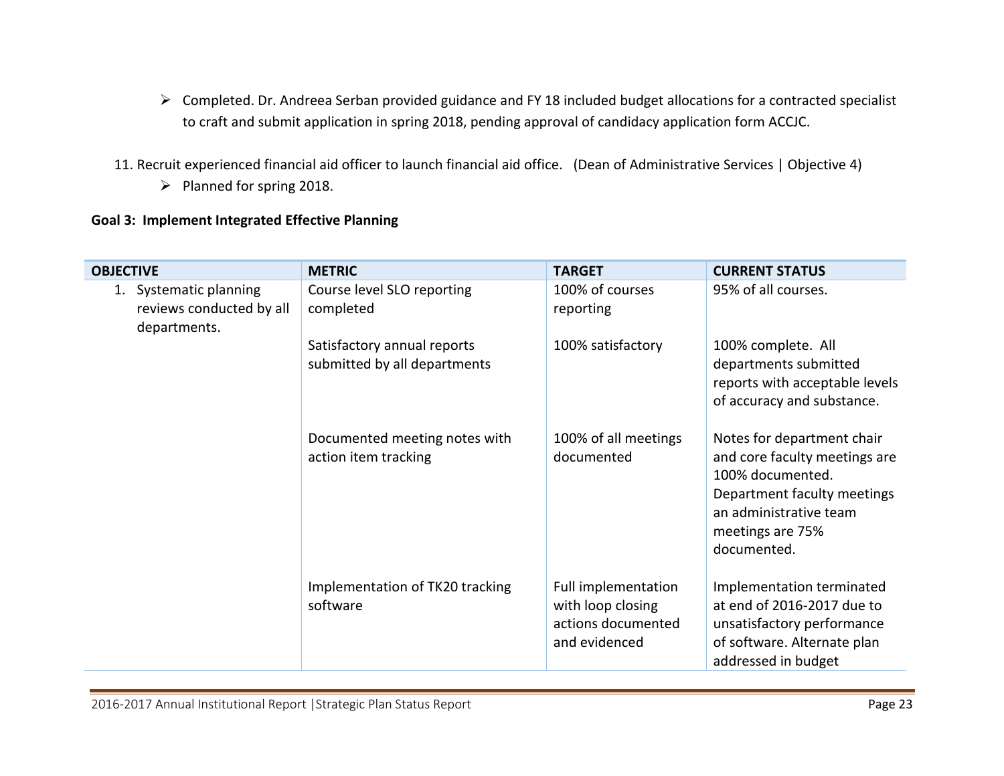- Completed. Dr. Andreea Serban provided guidance and FY 18 included budget allocations for a contracted specialist to craft and submit application in spring 2018, pending approval of candidacy application form ACCJC.
- 11. Recruit experienced financial aid officer to launch financial aid office. (Dean of Administrative Services | Objective 4)
	- $\triangleright$  Planned for spring 2018.

### **Goal 3: Implement Integrated Effective Planning**

| <b>OBJECTIVE</b>                                                      | <b>METRIC</b>                                               | <b>TARGET</b>                                                                   | <b>CURRENT STATUS</b>                                                                                                                                                       |
|-----------------------------------------------------------------------|-------------------------------------------------------------|---------------------------------------------------------------------------------|-----------------------------------------------------------------------------------------------------------------------------------------------------------------------------|
| Systematic planning<br>1.<br>reviews conducted by all<br>departments. | Course level SLO reporting<br>completed                     | 100% of courses<br>reporting                                                    | 95% of all courses.                                                                                                                                                         |
|                                                                       | Satisfactory annual reports<br>submitted by all departments | 100% satisfactory                                                               | 100% complete. All<br>departments submitted<br>reports with acceptable levels<br>of accuracy and substance.                                                                 |
|                                                                       | Documented meeting notes with<br>action item tracking       | 100% of all meetings<br>documented                                              | Notes for department chair<br>and core faculty meetings are<br>100% documented.<br>Department faculty meetings<br>an administrative team<br>meetings are 75%<br>documented. |
|                                                                       | Implementation of TK20 tracking<br>software                 | Full implementation<br>with loop closing<br>actions documented<br>and evidenced | Implementation terminated<br>at end of 2016-2017 due to<br>unsatisfactory performance<br>of software. Alternate plan<br>addressed in budget                                 |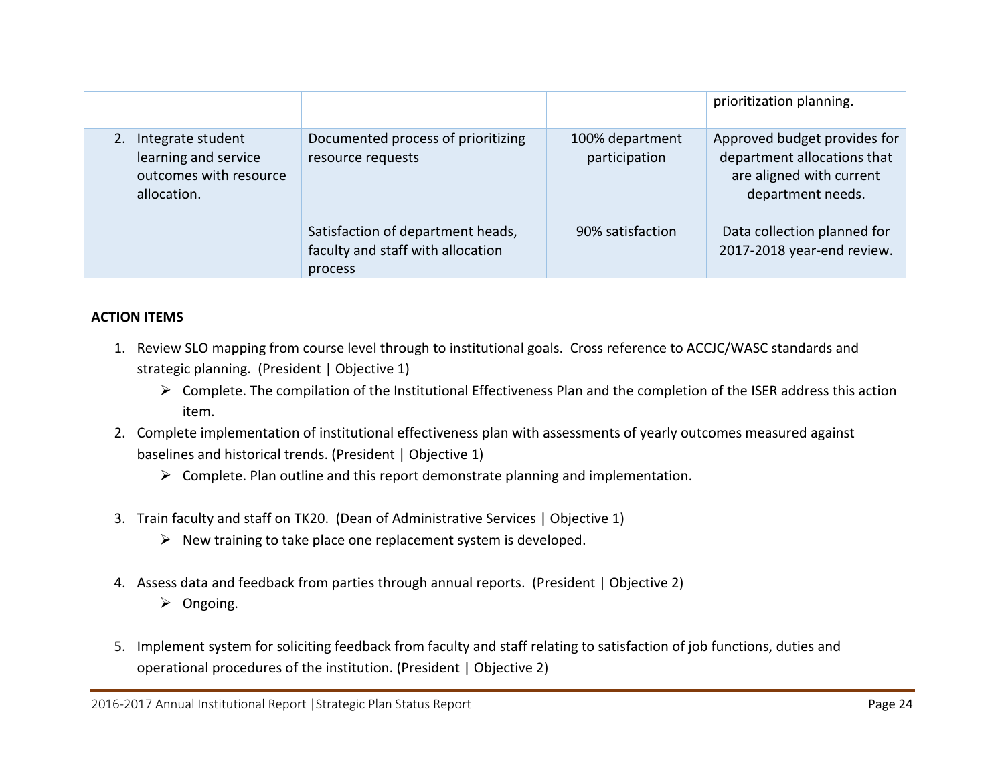|                                                                                    |                                                                                   |                                  | prioritization planning.                                                                                     |
|------------------------------------------------------------------------------------|-----------------------------------------------------------------------------------|----------------------------------|--------------------------------------------------------------------------------------------------------------|
| Integrate student<br>learning and service<br>outcomes with resource<br>allocation. | Documented process of prioritizing<br>resource requests                           | 100% department<br>participation | Approved budget provides for<br>department allocations that<br>are aligned with current<br>department needs. |
|                                                                                    | Satisfaction of department heads,<br>faculty and staff with allocation<br>process | 90% satisfaction                 | Data collection planned for<br>2017-2018 year-end review.                                                    |

### **ACTION ITEMS**

- 1. Review SLO mapping from course level through to institutional goals. Cross reference to ACCJC/WASC standards and strategic planning. (President | Objective 1)
	- Complete. The compilation of the Institutional Effectiveness Plan and the completion of the ISER address this action item.
- 2. Complete implementation of institutional effectiveness plan with assessments of yearly outcomes measured against baselines and historical trends. (President | Objective 1)
	- $\triangleright$  Complete. Plan outline and this report demonstrate planning and implementation.
- 3. Train faculty and staff on TK20. (Dean of Administrative Services | Objective 1)
	- $\triangleright$  New training to take place one replacement system is developed.
- 4. Assess data and feedback from parties through annual reports. (President | Objective 2)
	- > Ongoing.
- 5. Implement system for soliciting feedback from faculty and staff relating to satisfaction of job functions, duties and operational procedures of the institution. (President | Objective 2)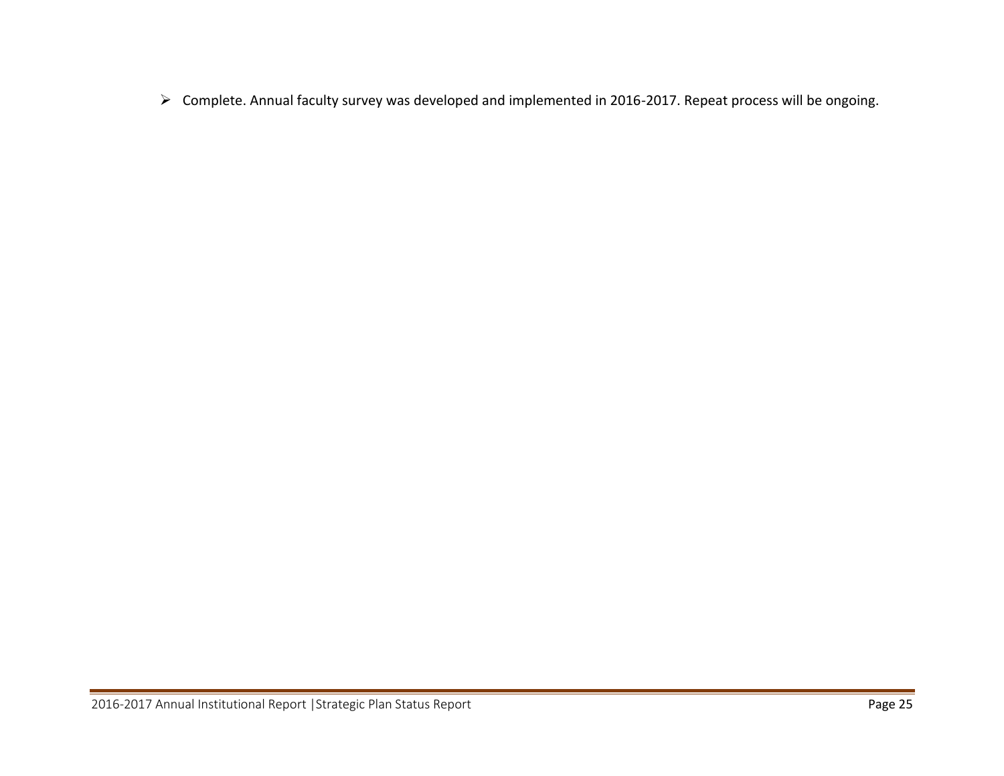Complete. Annual faculty survey was developed and implemented in 2016-2017. Repeat process will be ongoing.